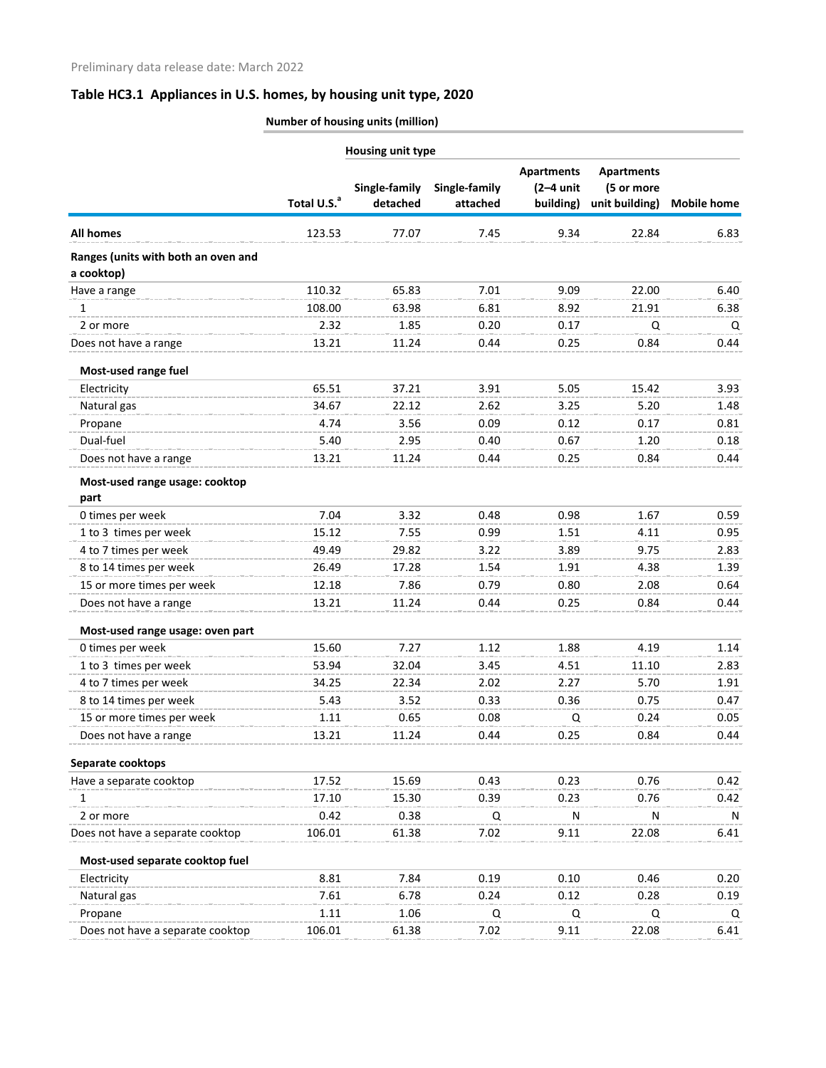|                                                   | <b>Housing unit type</b> |                           |                           |                                               |                                                   |                    |
|---------------------------------------------------|--------------------------|---------------------------|---------------------------|-----------------------------------------------|---------------------------------------------------|--------------------|
|                                                   | Total U.S. <sup>a</sup>  | Single-family<br>detached | Single-family<br>attached | <b>Apartments</b><br>$(2-4$ unit<br>building) | <b>Apartments</b><br>(5 or more<br>unit building) | <b>Mobile home</b> |
| <b>All homes</b>                                  | 123.53                   | 77.07                     | 7.45                      | 9.34                                          | 22.84                                             | 6.83               |
| Ranges (units with both an oven and<br>a cooktop) |                          |                           |                           |                                               |                                                   |                    |
| Have a range                                      | 110.32                   | 65.83                     | 7.01                      | 9.09                                          | 22.00                                             | 6.40               |
| 1                                                 | 108.00                   | 63.98                     | 6.81                      | 8.92                                          | 21.91                                             | 6.38               |
| 2 or more                                         | 2.32                     | 1.85                      | 0.20                      | 0.17                                          | Q                                                 | Q                  |
| Does not have a range                             | 13.21                    | 11.24                     | 0.44                      | 0.25                                          | 0.84                                              | 0.44               |
| Most-used range fuel                              |                          |                           |                           |                                               |                                                   |                    |
| Electricity                                       | 65.51                    | 37.21                     | 3.91                      | 5.05                                          | 15.42                                             | 3.93               |
| Natural gas                                       | 34.67                    | 22.12                     | 2.62                      | 3.25                                          | 5.20                                              | 1.48               |
| Propane                                           | 4.74                     | 3.56                      | 0.09                      | 0.12                                          | 0.17                                              | 0.81               |
| Dual-fuel                                         | 5.40                     | 2.95                      | 0.40                      | 0.67                                          | 1.20                                              | 0.18               |
| Does not have a range                             | 13.21                    | 11.24                     | 0.44                      | 0.25                                          | 0.84                                              | 0.44               |
| Most-used range usage: cooktop<br>part            |                          |                           |                           |                                               |                                                   |                    |
| 0 times per week                                  | 7.04                     | 3.32                      | 0.48                      | 0.98                                          | 1.67                                              | 0.59               |
| 1 to 3 times per week                             | 15.12                    | 7.55                      | 0.99                      | 1.51                                          | 4.11                                              | 0.95               |
| 4 to 7 times per week                             | 49.49                    | 29.82                     | 3.22                      | 3.89                                          | 9.75                                              | 2.83               |
| 8 to 14 times per week                            | 26.49                    | 17.28                     | 1.54                      | 1.91                                          | 4.38                                              | 1.39               |
| 15 or more times per week                         | 12.18                    | 7.86                      | 0.79                      | 0.80                                          | 2.08                                              | 0.64               |
| Does not have a range                             | 13.21                    | 11.24                     | 0.44                      | 0.25                                          | 0.84                                              | 0.44               |
| Most-used range usage: oven part                  |                          |                           |                           |                                               |                                                   |                    |
| 0 times per week                                  | 15.60                    | 7.27                      | 1.12                      | 1.88                                          | 4.19                                              | 1.14               |
| 1 to 3 times per week                             | 53.94                    | 32.04                     | 3.45                      | 4.51                                          | 11.10                                             | 2.83               |
| 4 to 7 times per week                             | 34.25                    | 22.34                     | 2.02                      | 2.27                                          | 5.70                                              | 1.91               |
| 8 to 14 times per week                            | 5.43                     | 3.52                      | 0.33                      | 0.36                                          | 0.75                                              | 0.47               |
| 15 or more times per week                         | 1.11                     | 0.65                      | 0.08                      | Q                                             | 0.24                                              | 0.05               |
| Does not have a range                             | 13.21                    | 11.24                     | 0.44                      | 0.25                                          | 0.84                                              | 0.44               |
| Separate cooktops                                 |                          |                           |                           |                                               |                                                   |                    |
| Have a separate cooktop                           | 17.52                    | 15.69                     | 0.43                      | 0.23                                          | 0.76                                              | 0.42               |
| 1                                                 | 17.10                    | 15.30                     | 0.39                      | 0.23                                          | 0.76                                              | 0.42               |
| 2 or more                                         | 0.42                     | 0.38                      | Q                         | N                                             | N                                                 | N                  |
| Does not have a separate cooktop                  | 106.01                   | 61.38                     | 7.02                      | 9.11                                          | 22.08                                             | 6.41               |
| Most-used separate cooktop fuel                   |                          |                           |                           |                                               |                                                   |                    |
| Electricity                                       | 8.81                     | 7.84                      | 0.19                      | 0.10                                          | 0.46                                              | 0.20               |
| Natural gas                                       | 7.61                     | 6.78                      | 0.24                      | 0.12                                          | 0.28                                              | 0.19               |
| Propane                                           | 1.11                     | 1.06                      | Q                         | Q                                             | Q                                                 | Q                  |
| Does not have a separate cooktop                  | 106.01                   | 61.38                     | 7.02                      | 9.11                                          | 22.08                                             | 6.41               |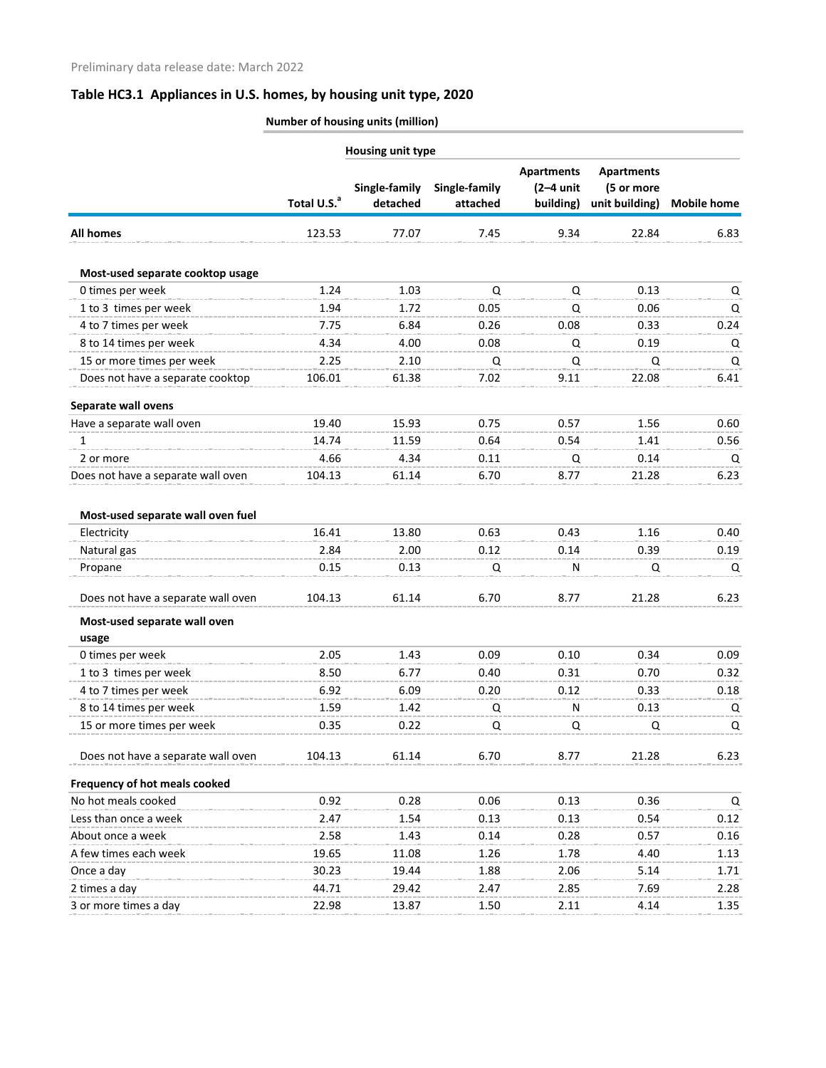|                                       |                         | Housing unit type         |                           |                                               |                                                   |                    |
|---------------------------------------|-------------------------|---------------------------|---------------------------|-----------------------------------------------|---------------------------------------------------|--------------------|
|                                       | Total U.S. <sup>a</sup> | Single-family<br>detached | Single-family<br>attached | <b>Apartments</b><br>$(2-4$ unit<br>building) | <b>Apartments</b><br>(5 or more<br>unit building) | <b>Mobile home</b> |
| <b>All homes</b>                      | 123.53                  | 77.07                     | 7.45                      | 9.34                                          | 22.84                                             | 6.83               |
| Most-used separate cooktop usage      |                         |                           |                           |                                               |                                                   |                    |
| 0 times per week                      | 1.24                    | 1.03                      | Q                         | Q                                             | 0.13                                              | Q                  |
| 1 to 3 times per week                 | 1.94                    | 1.72                      | 0.05                      | Q                                             | 0.06                                              | Q                  |
| 4 to 7 times per week                 | 7.75                    | 6.84                      | 0.26                      | 0.08                                          | 0.33                                              | 0.24               |
| 8 to 14 times per week                | 4.34                    | 4.00                      | 0.08                      | Q                                             | 0.19                                              | Q                  |
| 15 or more times per week             | 2.25                    | 2.10                      | Q                         | Q                                             | Q                                                 | Q                  |
| Does not have a separate cooktop      | 106.01                  | 61.38                     | 7.02                      | 9.11                                          | 22.08                                             | 6.41               |
| Separate wall ovens                   |                         |                           |                           |                                               |                                                   |                    |
| Have a separate wall oven             | 19.40                   | 15.93                     | 0.75                      | 0.57                                          | 1.56                                              | 0.60               |
| 1                                     | 14.74                   | 11.59                     | 0.64                      | 0.54                                          | 1.41                                              | 0.56               |
| 2 or more                             | 4.66                    | 4.34                      | 0.11                      | Q                                             | 0.14                                              | Q                  |
| Does not have a separate wall oven    | 104.13                  | 61.14                     | 6.70                      | 8.77                                          | 21.28                                             | 6.23               |
| Most-used separate wall oven fuel     |                         |                           |                           |                                               |                                                   |                    |
| Electricity                           | 16.41                   | 13.80                     | 0.63                      | 0.43                                          | 1.16                                              | 0.40               |
| Natural gas                           | 2.84                    | 2.00                      | 0.12                      | 0.14                                          | 0.39                                              | 0.19               |
| Propane                               | 0.15                    | 0.13                      | Q                         | N                                             | Q                                                 | Q                  |
| Does not have a separate wall oven    | 104.13                  | 61.14                     | 6.70                      | 8.77                                          | 21.28                                             | 6.23               |
| Most-used separate wall oven<br>usage |                         |                           |                           |                                               |                                                   |                    |
| 0 times per week                      | 2.05                    | 1.43                      | 0.09                      | 0.10                                          | 0.34                                              | 0.09               |
| 1 to 3 times per week                 | 8.50                    | 6.77                      | 0.40                      | 0.31                                          | 0.70                                              | 0.32               |
| 4 to 7 times per week                 | 6.92                    | 6.09                      | 0.20                      | 0.12                                          | 0.33                                              | 0.18               |
| 8 to 14 times per week                | 1.59                    | 1.42                      | Q                         | N.                                            | 0.13                                              | Q                  |
| 15 or more times per week             | 0.35                    | 0.22                      | Q                         | Q                                             | Q                                                 | Q                  |
| Does not have a separate wall oven    | 104.13                  | 61.14                     | 6.70                      | 8.77                                          | 21.28                                             | 6.23               |
| Frequency of hot meals cooked         |                         |                           |                           |                                               |                                                   |                    |
| No hot meals cooked                   | 0.92                    | 0.28                      | 0.06                      | 0.13                                          | 0.36                                              | Q                  |
| Less than once a week                 | 2.47                    | 1.54                      | 0.13                      | 0.13                                          | 0.54                                              | 0.12               |
| About once a week                     | 2.58                    | 1.43                      | 0.14                      | 0.28                                          | 0.57                                              | 0.16               |
| A few times each week                 | 19.65                   | 11.08                     | 1.26                      | 1.78                                          | 4.40                                              | 1.13               |
| Once a day                            | 30.23                   | 19.44                     | 1.88                      | 2.06                                          | 5.14                                              | 1.71               |
| 2 times a day                         | 44.71                   | 29.42                     | 2.47                      | 2.85                                          | 7.69                                              | 2.28               |
| 3 or more times a day                 | 22.98                   | 13.87                     | 1.50                      | 2.11                                          | 4.14                                              | 1.35               |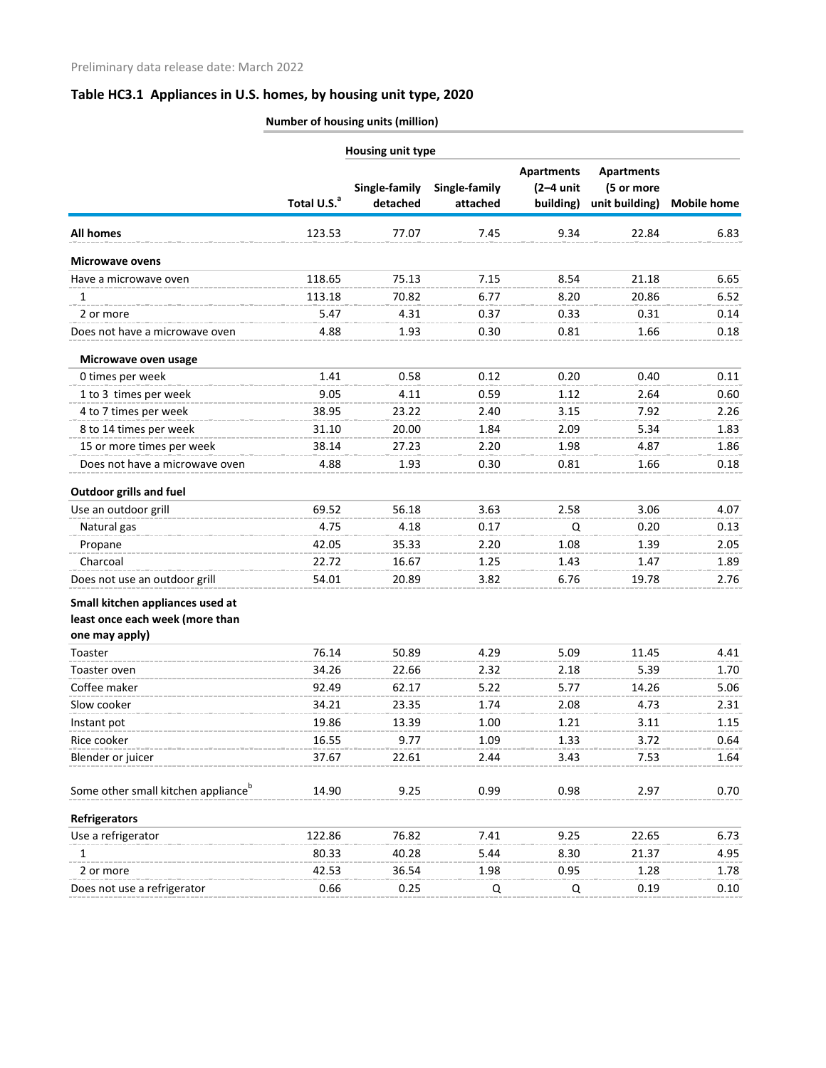| <b>Housing unit type</b>                        |                         |                           |                           |                                               |                                                   |                    |
|-------------------------------------------------|-------------------------|---------------------------|---------------------------|-----------------------------------------------|---------------------------------------------------|--------------------|
|                                                 | Total U.S. <sup>a</sup> | Single-family<br>detached | Single-family<br>attached | <b>Apartments</b><br>$(2-4$ unit<br>building) | <b>Apartments</b><br>(5 or more<br>unit building) | <b>Mobile home</b> |
| <b>All homes</b>                                | 123.53                  | 77.07                     | 7.45                      | 9.34                                          | 22.84                                             | 6.83               |
| <b>Microwave ovens</b>                          |                         |                           |                           |                                               |                                                   |                    |
| Have a microwave oven                           | 118.65                  | 75.13                     | 7.15                      | 8.54                                          | 21.18                                             | 6.65               |
| 1                                               | 113.18                  | 70.82                     | 6.77                      | 8.20                                          | 20.86                                             | 6.52               |
| 2 or more                                       | 5.47                    | 4.31                      | 0.37                      | 0.33                                          | 0.31                                              | 0.14               |
| Does not have a microwave oven                  | 4.88                    | 1.93                      | 0.30                      | 0.81                                          | 1.66                                              | 0.18               |
| Microwave oven usage                            |                         |                           |                           |                                               |                                                   |                    |
| 0 times per week                                | 1.41                    | 0.58                      | 0.12                      | 0.20                                          | 0.40                                              | 0.11               |
| 1 to 3 times per week                           | 9.05                    | 4.11                      | 0.59                      | 1.12                                          | 2.64                                              | 0.60               |
| 4 to 7 times per week                           | 38.95                   | 23.22                     | 2.40                      | 3.15                                          | 7.92                                              | 2.26               |
| 8 to 14 times per week                          | 31.10                   | 20.00                     | 1.84                      | 2.09                                          | 5.34                                              | 1.83               |
| 15 or more times per week                       | 38.14                   | 27.23                     | 2.20                      | 1.98                                          | 4.87                                              | 1.86               |
| Does not have a microwave oven                  | 4.88                    | 1.93                      | 0.30                      | 0.81                                          | 1.66                                              | 0.18               |
| <b>Outdoor grills and fuel</b>                  |                         |                           |                           |                                               |                                                   |                    |
| Use an outdoor grill                            | 69.52                   | 56.18                     | 3.63                      | 2.58                                          | 3.06                                              | 4.07               |
| Natural gas                                     | 4.75                    | 4.18                      | 0.17                      | Q                                             | 0.20                                              | 0.13               |
| Propane                                         | 42.05                   | 35.33                     | 2.20                      | 1.08                                          | 1.39                                              | 2.05               |
| Charcoal                                        | 22.72                   | 16.67                     | 1.25                      | 1.43                                          | 1.47                                              | 1.89               |
| Does not use an outdoor grill                   | 54.01                   | 20.89                     | 3.82                      | 6.76                                          | 19.78                                             | 2.76               |
| Small kitchen appliances used at                |                         |                           |                           |                                               |                                                   |                    |
| least once each week (more than                 |                         |                           |                           |                                               |                                                   |                    |
| one may apply)                                  |                         |                           |                           |                                               |                                                   |                    |
| Toaster                                         | 76.14                   | 50.89                     | 4.29                      | 5.09                                          | 11.45                                             | 4.41               |
| Toaster oven                                    | 34.26                   | 22.66                     | 2.32                      | 2.18                                          | 5.39                                              | 1.70               |
| Coffee maker                                    | 92.49                   | 62.17                     | 5.22                      | 5.77                                          | 14.26                                             | 5.06               |
| Slow cooker                                     | 34.21                   | 23.35                     | 1.74                      | 2.08                                          | 4.73                                              | 2.31               |
| Instant pot                                     | 19.86                   | 13.39                     | 1.00                      | 1.21                                          | 3.11                                              | 1.15               |
| Rice cooker                                     | 16.55                   | 9.77                      | 1.09                      | 1.33                                          | 3.72                                              | 0.64               |
| Blender or juicer                               | 37.67                   | 22.61                     | 2.44                      | 3.43                                          | 7.53                                              | 1.64               |
| Some other small kitchen appliance <sup>b</sup> | 14.90                   | 9.25                      | 0.99                      | 0.98                                          | 2.97                                              | 0.70               |
| <b>Refrigerators</b>                            |                         |                           |                           |                                               |                                                   |                    |
| Use a refrigerator                              | 122.86                  | 76.82                     | 7.41                      | 9.25                                          | 22.65                                             | 6.73               |
| 1                                               | 80.33                   | 40.28                     | 5.44                      | 8.30                                          | 21.37                                             | 4.95               |
| 2 or more                                       | 42.53                   | 36.54                     | 1.98                      | 0.95                                          | 1.28                                              | 1.78               |
| Does not use a refrigerator                     | 0.66                    | 0.25                      | Q                         | Q                                             | 0.19                                              | 0.10               |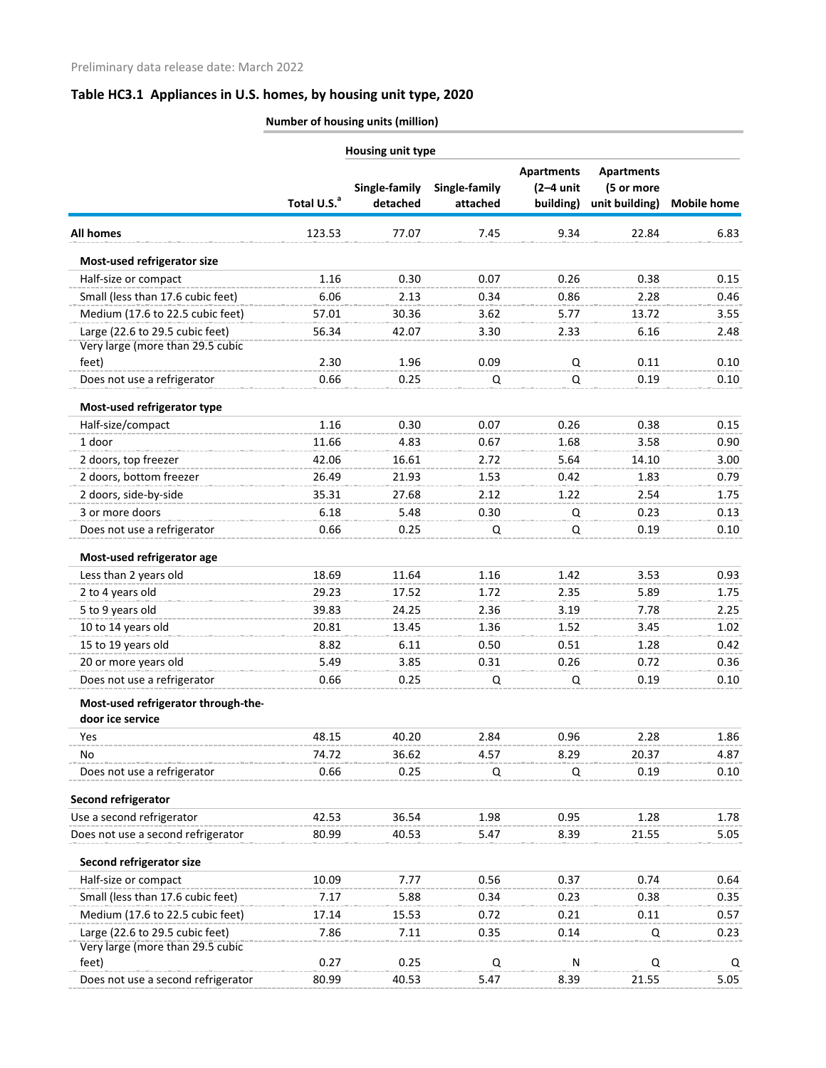| Housing unit type                   |                         |                           |                           |                                               |                                                   |                    |
|-------------------------------------|-------------------------|---------------------------|---------------------------|-----------------------------------------------|---------------------------------------------------|--------------------|
|                                     | Total U.S. <sup>a</sup> | Single-family<br>detached | Single-family<br>attached | <b>Apartments</b><br>$(2-4$ unit<br>building) | <b>Apartments</b><br>(5 or more<br>unit building) | <b>Mobile home</b> |
| <b>All homes</b>                    | 123.53                  | 77.07                     | 7.45                      | 9.34                                          | 22.84                                             | 6.83               |
| Most-used refrigerator size         |                         |                           |                           |                                               |                                                   |                    |
| Half-size or compact                | 1.16                    | 0.30                      | 0.07                      | 0.26                                          | 0.38                                              | 0.15               |
| Small (less than 17.6 cubic feet)   | 6.06                    | 2.13                      | 0.34                      | 0.86                                          | 2.28                                              | 0.46               |
| Medium (17.6 to 22.5 cubic feet)    | 57.01                   | 30.36                     | 3.62                      | 5.77                                          | 13.72                                             | 3.55               |
| Large (22.6 to 29.5 cubic feet)     | 56.34                   | 42.07                     | 3.30                      | 2.33                                          | 6.16                                              | 2.48               |
| Very large (more than 29.5 cubic    |                         |                           |                           |                                               |                                                   |                    |
| feet)                               | 2.30                    | 1.96                      | 0.09                      | Q                                             | 0.11                                              | 0.10               |
| Does not use a refrigerator         | 0.66                    | 0.25                      | Q                         | Q                                             | 0.19                                              | 0.10               |
| Most-used refrigerator type         |                         |                           |                           |                                               |                                                   |                    |
| Half-size/compact                   | 1.16                    | 0.30                      | 0.07                      | 0.26                                          | 0.38                                              | 0.15               |
| 1 door                              | 11.66                   | 4.83                      | 0.67                      | 1.68                                          | 3.58                                              | 0.90               |
| 2 doors, top freezer                | 42.06                   | 16.61                     | 2.72                      | 5.64                                          | 14.10                                             | 3.00               |
| 2 doors, bottom freezer             | 26.49                   | 21.93                     | 1.53                      | 0.42                                          | 1.83                                              | 0.79               |
| 2 doors, side-by-side               | 35.31                   | 27.68                     | 2.12                      | 1.22                                          | 2.54                                              | 1.75               |
| 3 or more doors                     | 6.18                    | 5.48                      | 0.30                      | Q                                             | 0.23                                              | 0.13               |
| Does not use a refrigerator         | 0.66                    | 0.25                      | Q                         | Q                                             | 0.19                                              | 0.10               |
| Most-used refrigerator age          |                         |                           |                           |                                               |                                                   |                    |
| Less than 2 years old               | 18.69                   | 11.64                     | 1.16                      | 1.42                                          | 3.53                                              | 0.93               |
| 2 to 4 years old                    | 29.23                   | 17.52                     | 1.72                      | 2.35                                          | 5.89                                              | 1.75               |
| 5 to 9 years old                    | 39.83                   | 24.25                     | 2.36                      | 3.19                                          | 7.78                                              | 2.25               |
| 10 to 14 years old                  | 20.81                   | 13.45                     | 1.36                      | 1.52                                          | 3.45                                              | 1.02               |
| 15 to 19 years old                  | 8.82                    | 6.11                      | 0.50                      | 0.51                                          | 1.28                                              | 0.42               |
| 20 or more years old                | 5.49                    | 3.85                      | 0.31                      | 0.26                                          | 0.72                                              | 0.36               |
| Does not use a refrigerator         | 0.66                    | 0.25                      | Q                         | Q                                             | 0.19                                              | 0.10               |
| Most-used refrigerator through-the- |                         |                           |                           |                                               |                                                   |                    |
| door ice service                    |                         |                           |                           |                                               |                                                   |                    |
| Yes                                 | 48.15                   | 40.20                     | 2.84                      | 0.96                                          | 2.28                                              | 1.86               |
| No                                  | 74.72                   | 36.62                     | 4.57                      | 8.29                                          | 20.37                                             | 4.87               |
| Does not use a refrigerator         | 0.66                    | 0.25                      | Q                         | Q                                             | 0.19                                              | 0.10               |
| Second refrigerator                 |                         |                           |                           |                                               |                                                   |                    |
| Use a second refrigerator           | 42.53                   | 36.54                     | 1.98                      | 0.95                                          | 1.28                                              | 1.78               |
| Does not use a second refrigerator  | 80.99                   | 40.53                     | 5.47                      | 8.39                                          | 21.55                                             | 5.05               |
| Second refrigerator size            |                         |                           |                           |                                               |                                                   |                    |
| Half-size or compact                | 10.09                   | 7.77                      | 0.56                      | 0.37                                          | 0.74                                              | 0.64               |
| Small (less than 17.6 cubic feet)   | 7.17                    | 5.88                      | 0.34                      | 0.23                                          | 0.38                                              | 0.35               |
| Medium (17.6 to 22.5 cubic feet)    | 17.14                   | 15.53                     | 0.72                      | 0.21                                          | 0.11                                              | 0.57               |
| Large (22.6 to 29.5 cubic feet)     | 7.86                    | 7.11                      | 0.35                      | 0.14                                          | Q                                                 | 0.23               |
| Very large (more than 29.5 cubic    |                         |                           |                           |                                               |                                                   |                    |
| feet)                               | 0.27                    | 0.25                      | Q                         | N                                             | Q                                                 | Q                  |
| Does not use a second refrigerator  | 80.99                   | 40.53                     | 5.47                      | 8.39                                          | 21.55                                             | 5.05               |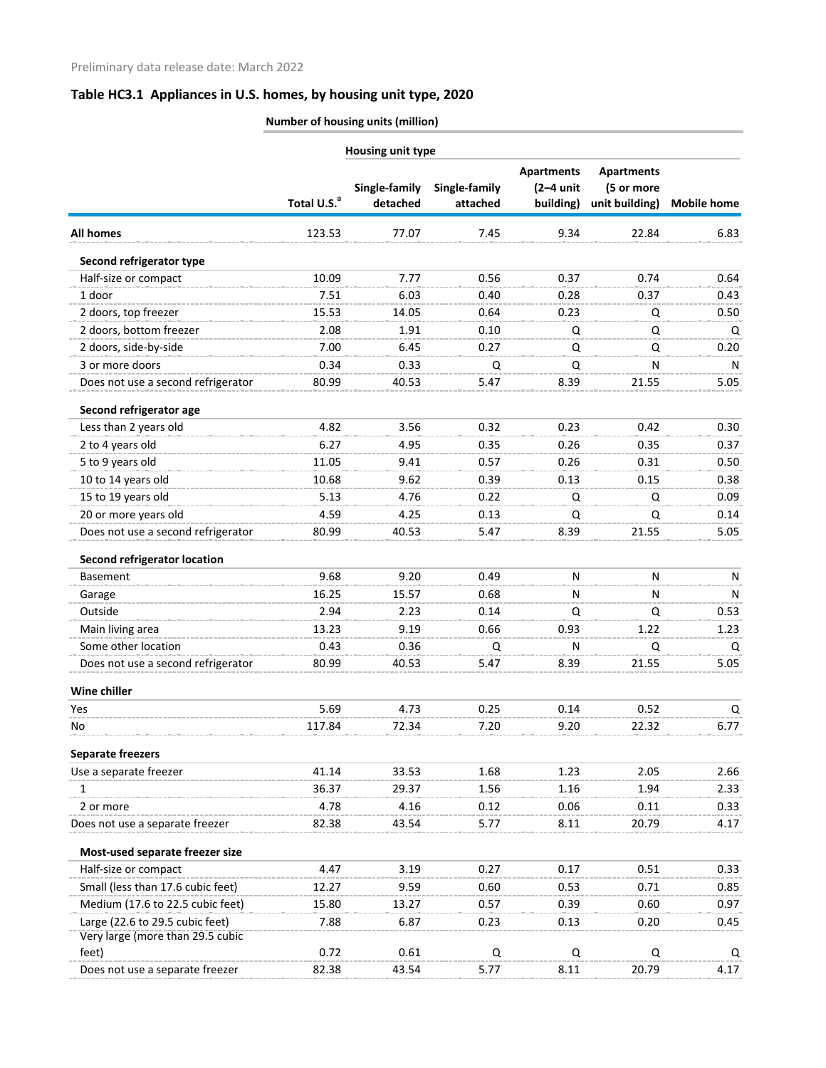| Housing unit type                   |                         |                           |                           |                                               |                                                   |                    |  |
|-------------------------------------|-------------------------|---------------------------|---------------------------|-----------------------------------------------|---------------------------------------------------|--------------------|--|
|                                     | Total U.S. <sup>a</sup> | Single-family<br>detached | Single-family<br>attached | <b>Apartments</b><br>$(2-4$ unit<br>building) | <b>Apartments</b><br>(5 or more<br>unit building) | <b>Mobile home</b> |  |
| <b>All homes</b>                    | 123.53                  | 77.07                     | 7.45                      | 9.34                                          | 22.84                                             | 6.83               |  |
| Second refrigerator type            |                         |                           |                           |                                               |                                                   |                    |  |
| Half-size or compact                | 10.09                   | 7.77                      | 0.56                      | 0.37                                          | 0.74                                              | 0.64               |  |
| 1 door                              | 7.51                    | 6.03                      | 0.40                      | 0.28                                          | 0.37                                              | 0.43               |  |
| 2 doors, top freezer                | 15.53                   | 14.05                     | 0.64                      | 0.23                                          | Q                                                 | 0.50               |  |
| 2 doors, bottom freezer             | 2.08                    | 1.91                      | 0.10                      | Q                                             | Q                                                 | Q                  |  |
| 2 doors, side-by-side               | 7.00                    | 6.45                      | 0.27                      | Q                                             | Q                                                 | 0.20               |  |
| 3 or more doors                     | 0.34                    | 0.33                      | Q                         | Q                                             | N                                                 | N                  |  |
| Does not use a second refrigerator  | 80.99                   | 40.53                     | 5.47                      | 8.39                                          | 21.55                                             | 5.05               |  |
| Second refrigerator age             |                         |                           |                           |                                               |                                                   |                    |  |
| Less than 2 years old               | 4.82                    | 3.56                      | 0.32                      | 0.23                                          | 0.42                                              | 0.30               |  |
| 2 to 4 years old                    | 6.27                    | 4.95                      | 0.35                      | 0.26                                          | 0.35                                              | 0.37               |  |
| 5 to 9 years old                    | 11.05                   | 9.41                      | 0.57                      | 0.26                                          | 0.31                                              | 0.50               |  |
| 10 to 14 years old                  | 10.68                   | 9.62                      | 0.39                      | 0.13                                          | 0.15                                              | 0.38               |  |
| 15 to 19 years old                  | 5.13                    | 4.76                      | 0.22                      | Q                                             | Q                                                 | 0.09               |  |
| 20 or more years old                | 4.59                    | 4.25                      | 0.13                      | Q                                             | Q                                                 | 0.14               |  |
| Does not use a second refrigerator  | 80.99                   | 40.53                     | 5.47                      | 8.39                                          | 21.55                                             | 5.05               |  |
| <b>Second refrigerator location</b> |                         |                           |                           |                                               |                                                   |                    |  |
| <b>Basement</b>                     | 9.68                    | 9.20                      | 0.49                      | N                                             | $\mathsf{N}$                                      | N                  |  |
| Garage                              | 16.25                   | 15.57                     | 0.68                      | N                                             | N                                                 | N                  |  |
| Outside                             | 2.94                    | 2.23                      | 0.14                      | Q                                             | Q                                                 | 0.53               |  |
| Main living area                    | 13.23                   | 9.19                      | 0.66                      | 0.93                                          | 1.22                                              | 1.23               |  |
| Some other location                 | 0.43                    | 0.36                      | Q                         | N                                             | Q                                                 | Q                  |  |
| Does not use a second refrigerator  | 80.99                   | 40.53                     | 5.47                      | 8.39                                          | 21.55                                             | 5.05               |  |
| Wine chiller                        |                         |                           |                           |                                               |                                                   |                    |  |
| Yes                                 | 5.69                    | 4.73                      | 0.25                      | 0.14                                          | 0.52                                              | Q                  |  |
| No                                  | 117.84                  | 72.34                     | 7.20                      | 9.20                                          | 22.32                                             | 6.77               |  |
| <b>Separate freezers</b>            |                         |                           |                           |                                               |                                                   |                    |  |
| Use a separate freezer              | 41.14                   | 33.53                     | 1.68                      | 1.23                                          | 2.05                                              | 2.66               |  |
| 1                                   | 36.37                   | 29.37                     | 1.56                      | 1.16                                          | 1.94                                              | 2.33               |  |
| 2 or more                           | 4.78                    | 4.16                      | 0.12                      | 0.06                                          | 0.11                                              | 0.33               |  |
| Does not use a separate freezer     | 82.38                   | 43.54                     | 5.77                      | 8.11                                          | 20.79                                             | 4.17               |  |
| Most-used separate freezer size     |                         |                           |                           |                                               |                                                   |                    |  |
| Half-size or compact                | 4.47                    | 3.19                      | 0.27                      | 0.17                                          | 0.51                                              | 0.33               |  |
| Small (less than 17.6 cubic feet)   | 12.27                   | 9.59                      | 0.60                      | 0.53                                          | 0.71                                              | 0.85               |  |
| Medium (17.6 to 22.5 cubic feet)    | 15.80                   | 13.27                     | 0.57                      | 0.39                                          | 0.60                                              | 0.97               |  |
| Large (22.6 to 29.5 cubic feet)     | 7.88                    | 6.87                      | 0.23                      | 0.13                                          | 0.20                                              | 0.45               |  |
| Very large (more than 29.5 cubic    |                         |                           |                           |                                               |                                                   |                    |  |
| feet)                               | 0.72                    | 0.61                      | Q                         | Q                                             | Q                                                 | Q                  |  |
| Does not use a separate freezer     | 82.38                   | 43.54                     | 5.77                      | 8.11                                          | 20.79                                             | 4.17               |  |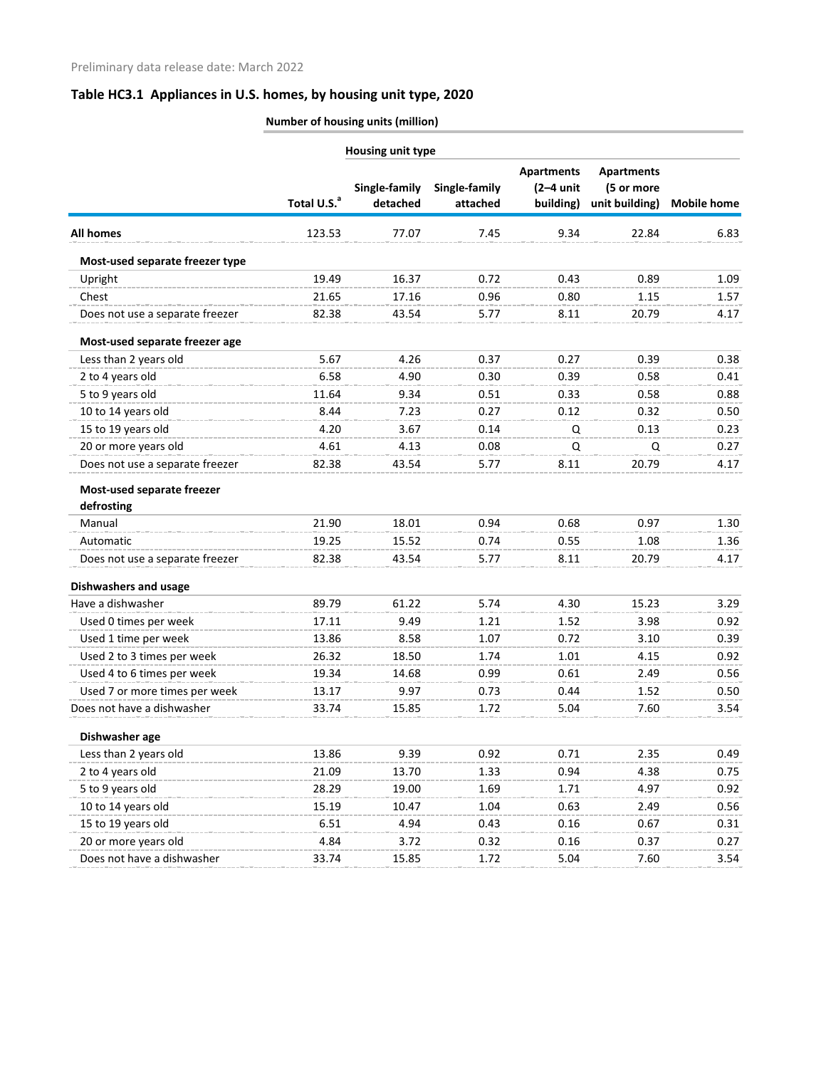| <b>Number of housing units (million)</b> |  |
|------------------------------------------|--|
|                                          |  |

| Single-family<br>Single-family                            | <b>Apartments</b><br>$(2-4$ unit<br>building) | <b>Apartments</b><br>(5 or more |                    |
|-----------------------------------------------------------|-----------------------------------------------|---------------------------------|--------------------|
| Total U.S. <sup>a</sup><br>detached<br>attached           |                                               | unit building)                  | <b>Mobile home</b> |
| <b>All homes</b><br>77.07<br>7.45<br>123.53               | 9.34                                          | 22.84                           | 6.83               |
| Most-used separate freezer type                           |                                               |                                 |                    |
| Upright<br>19.49<br>16.37<br>0.72                         | 0.43                                          | 0.89                            | 1.09               |
| Chest<br>21.65<br>17.16<br>0.96                           | 0.80                                          | 1.15                            | 1.57               |
| Does not use a separate freezer<br>82.38<br>43.54<br>5.77 | 8.11                                          | 20.79                           | 4.17               |
| Most-used separate freezer age                            |                                               |                                 |                    |
| 5.67<br>Less than 2 years old<br>4.26<br>0.37             | 0.27                                          | 0.39                            | 0.38               |
| 2 to 4 years old<br>6.58<br>4.90<br>0.30                  | 0.39                                          | 0.58                            | 0.41               |
| 5 to 9 years old<br>11.64<br>9.34<br>0.51                 | 0.33                                          | 0.58                            | 0.88               |
| 10 to 14 years old<br>0.27<br>8.44<br>7.23                | 0.12                                          | 0.32                            | 0.50               |
| 15 to 19 years old<br>4.20<br>3.67<br>0.14                | Q                                             | 0.13                            | 0.23               |
| 20 or more years old<br>0.08<br>4.61<br>4.13              | Q                                             | Q                               | 0.27               |
| Does not use a separate freezer<br>5.77<br>82.38<br>43.54 | 8.11                                          | 20.79                           | 4.17               |
| Most-used separate freezer<br>defrosting                  |                                               |                                 |                    |
| Manual<br>21.90<br>18.01<br>0.94                          | 0.68                                          | 0.97                            | 1.30               |
| Automatic<br>0.74<br>19.25<br>15.52                       | 0.55                                          | 1.08                            | 1.36               |
| Does not use a separate freezer<br>82.38<br>43.54<br>5.77 | 8.11                                          | 20.79                           | 4.17               |
| Dishwashers and usage                                     |                                               |                                 |                    |
| Have a dishwasher<br>89.79<br>61.22<br>5.74               | 4.30                                          | 15.23                           | 3.29               |
| Used 0 times per week<br>17.11<br>1.21<br>9.49            | 1.52                                          | 3.98                            | 0.92               |
| Used 1 time per week<br>13.86<br>8.58<br>1.07             | 0.72                                          | 3.10                            | 0.39               |
| Used 2 to 3 times per week<br>26.32<br>18.50<br>1.74      | 1.01                                          | 4.15                            | 0.92               |
| Used 4 to 6 times per week<br>19.34<br>0.99<br>14.68      | 0.61                                          | 2.49                            | 0.56               |
| 0.73<br>Used 7 or more times per week<br>13.17<br>9.97    | 0.44                                          | 1.52                            | 0.50               |
| Does not have a dishwasher<br>33.74<br>15.85<br>1.72      | 5.04                                          | 7.60                            | 3.54               |
| Dishwasher age                                            |                                               |                                 |                    |
| Less than 2 years old<br>13.86<br>9.39<br>0.92            | 0.71                                          | 2.35                            | 0.49               |
| 2 to 4 years old<br>13.70<br>21.09<br>1.33                | 0.94                                          | 4.38                            | 0.75               |
| 5 to 9 years old<br>28.29<br>19.00<br>1.69                | 1.71                                          | 4.97                            | 0.92               |
| 10 to 14 years old<br>1.04<br>15.19<br>10.47              | 0.63                                          | 2.49                            | 0.56               |
| 15 to 19 years old<br>6.51<br>4.94<br>0.43                | 0.16                                          | 0.67                            | 0.31               |
| 20 or more years old<br>4.84<br>0.32<br>3.72              | 0.16                                          | 0.37                            | 0.27               |
| Does not have a dishwasher<br>33.74<br>15.85<br>1.72      | 5.04                                          | 7.60                            | 3.54               |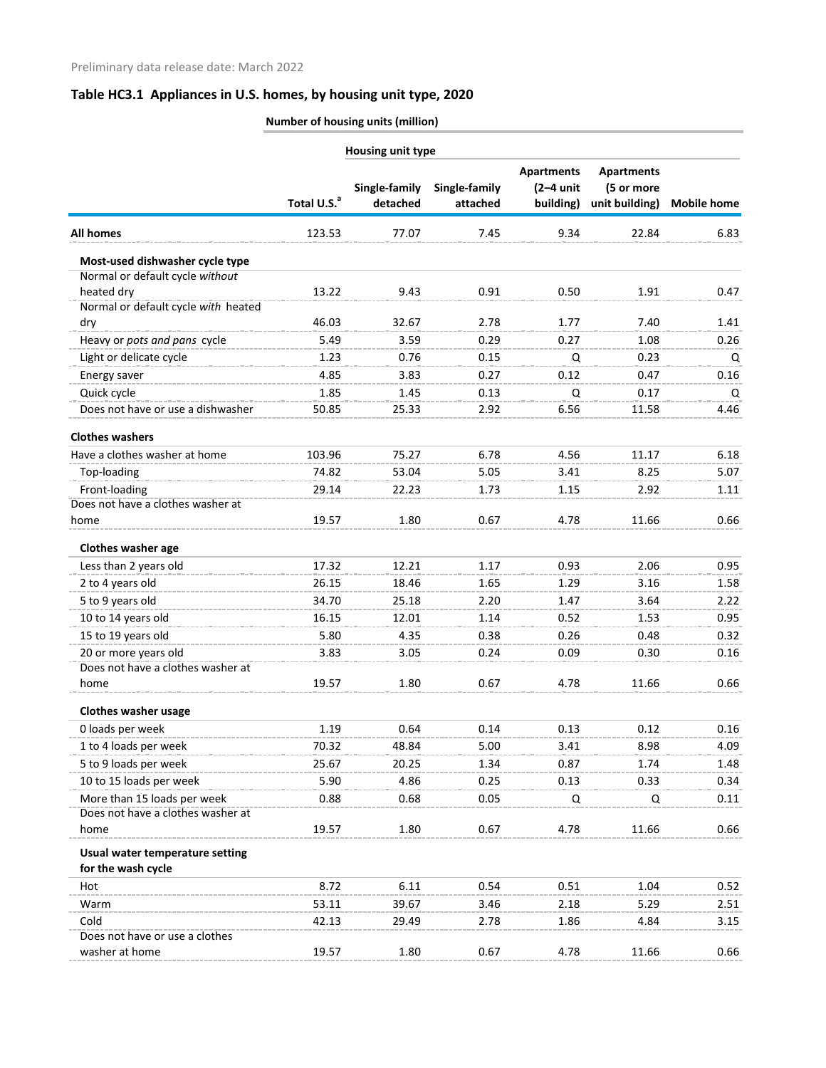|                                     | Total U.S. <sup>a</sup> | Single-family<br>detached | Single-family<br>attached | <b>Apartments</b><br>$(2-4$ unit<br>building) | <b>Apartments</b><br>(5 or more<br>unit building) | <b>Mobile home</b> |
|-------------------------------------|-------------------------|---------------------------|---------------------------|-----------------------------------------------|---------------------------------------------------|--------------------|
| <b>All homes</b>                    | 123.53                  | 77.07                     | 7.45                      | 9.34                                          | 22.84                                             | 6.83               |
| Most-used dishwasher cycle type     |                         |                           |                           |                                               |                                                   |                    |
| Normal or default cycle without     |                         |                           |                           |                                               |                                                   |                    |
| heated dry                          | 13.22                   | 9.43                      | 0.91                      | 0.50                                          | 1.91                                              | 0.47               |
| Normal or default cycle with heated |                         | 32.67                     | 2.78                      | 1.77                                          | 7.40                                              | 1.41               |
| dry                                 | 46.03<br>5.49           | 3.59                      | 0.29                      | 0.27                                          | 1.08                                              | 0.26               |
| Heavy or pots and pans cycle        | 1.23                    | 0.76                      |                           |                                               | 0.23                                              |                    |
| Light or delicate cycle             | 4.85                    | 3.83                      | 0.15<br>0.27              | Q<br>0.12                                     | 0.47                                              | Q                  |
| Energy saver                        |                         |                           |                           |                                               |                                                   | 0.16               |
| Quick cycle                         | 1.85                    | 1.45                      | 0.13                      | Q                                             | 0.17                                              | Q                  |
| Does not have or use a dishwasher   | 50.85                   | 25.33                     | 2.92                      | 6.56                                          | 11.58                                             | 4.46               |
| <b>Clothes washers</b>              |                         |                           |                           |                                               |                                                   |                    |
| Have a clothes washer at home       | 103.96                  | 75.27                     | 6.78                      | 4.56                                          | 11.17                                             | 6.18               |
| Top-loading                         | 74.82                   | 53.04                     | 5.05                      | 3.41                                          | 8.25                                              | 5.07               |
| Front-loading                       | 29.14                   | 22.23                     | 1.73                      | 1.15                                          | 2.92                                              | 1.11               |
| Does not have a clothes washer at   |                         |                           |                           |                                               |                                                   |                    |
| home                                | 19.57                   | 1.80                      | 0.67                      | 4.78                                          | 11.66                                             | 0.66               |
| Clothes washer age                  |                         |                           |                           |                                               |                                                   |                    |
| Less than 2 years old               | 17.32                   | 12.21                     | 1.17                      | 0.93                                          | 2.06                                              | 0.95               |
| 2 to 4 years old                    | 26.15                   | 18.46                     | 1.65                      | 1.29                                          | 3.16                                              | 1.58               |
| 5 to 9 years old                    | 34.70                   | 25.18                     | 2.20                      | 1.47                                          | 3.64                                              | 2.22               |
| 10 to 14 years old                  | 16.15                   | 12.01                     | 1.14                      | 0.52                                          | 1.53                                              | 0.95               |
| 15 to 19 years old                  | 5.80                    | 4.35                      | 0.38                      | 0.26                                          | 0.48                                              | 0.32               |
| 20 or more years old                | 3.83                    | 3.05                      | 0.24                      | 0.09                                          | 0.30                                              | 0.16               |
| Does not have a clothes washer at   |                         |                           |                           |                                               |                                                   |                    |
| home                                | 19.57                   | 1.80                      | 0.67                      | 4.78                                          | 11.66                                             | 0.66               |
| <b>Clothes washer usage</b>         |                         |                           |                           |                                               |                                                   |                    |
| 0 loads per week                    | 1.19                    | 0.64                      | 0.14                      | 0.13                                          | 0.12                                              | 0.16               |
| 1 to 4 loads per week               | 70.32                   | 48.84                     | 5.00                      | 3.41                                          | 8.98                                              | 4.09               |
| 5 to 9 loads per week               | 25.67                   | 20.25                     | 1.34                      | 0.87                                          | 1.74                                              | 1.48               |
| 10 to 15 loads per week             | 5.90                    | 4.86                      | 0.25                      | 0.13                                          | 0.33                                              | 0.34               |
| More than 15 loads per week         | 0.88                    | 0.68                      | 0.05                      | Q                                             | Q                                                 | 0.11               |
| Does not have a clothes washer at   |                         |                           |                           |                                               |                                                   |                    |
| home                                | 19.57                   | 1.80                      | 0.67                      | 4.78                                          | 11.66                                             | 0.66               |
| Usual water temperature setting     |                         |                           |                           |                                               |                                                   |                    |
| for the wash cycle                  |                         |                           |                           |                                               |                                                   |                    |
| Hot                                 | 8.72                    | 6.11                      | 0.54                      | 0.51                                          | 1.04                                              | 0.52               |
| Warm                                | 53.11                   | 39.67                     | 3.46                      | 2.18                                          | 5.29                                              | 2.51               |
| Cold                                | 42.13                   | 29.49                     | 2.78                      | 1.86                                          | 4.84                                              | 3.15               |
| Does not have or use a clothes      |                         |                           |                           |                                               |                                                   |                    |
| washer at home                      | 19.57                   | 1.80                      | 0.67                      | 4.78                                          | 11.66                                             | 0.66               |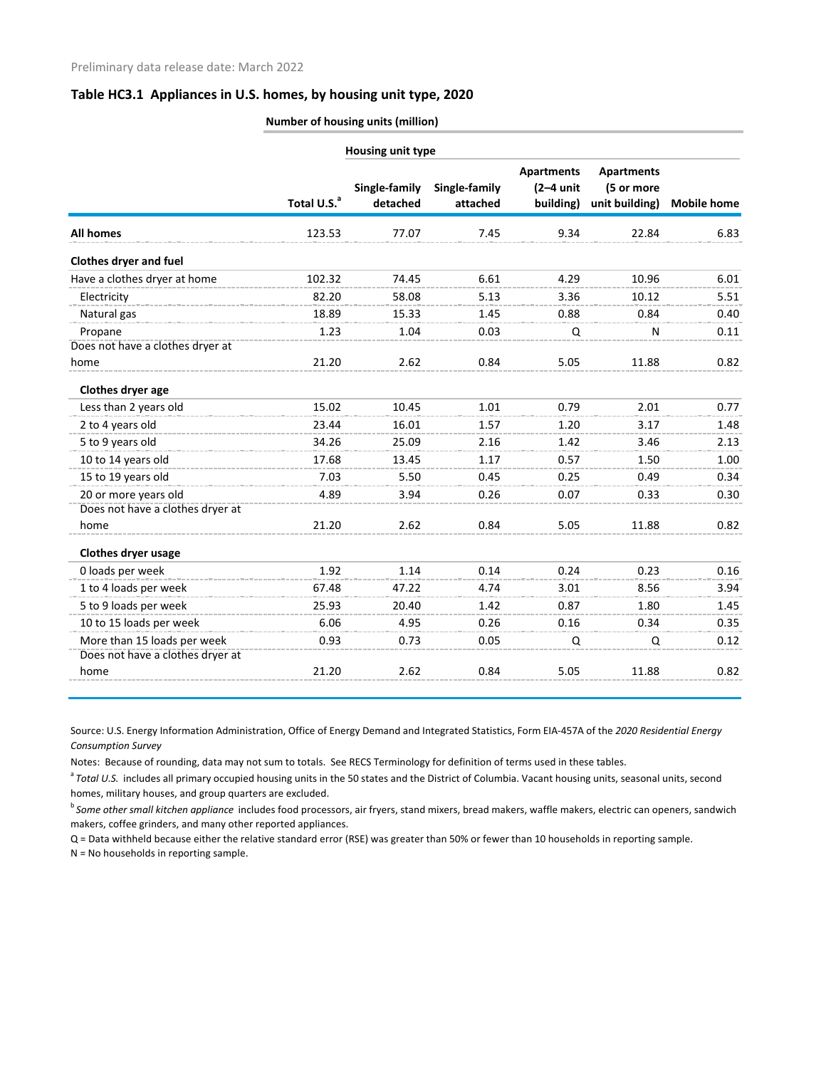|  | <b>Number of housing units (million)</b> |
|--|------------------------------------------|
|  |                                          |

|                                          |                         | <b>Housing unit type</b>  |                           |                                               |                                                   |                    |
|------------------------------------------|-------------------------|---------------------------|---------------------------|-----------------------------------------------|---------------------------------------------------|--------------------|
|                                          | Total U.S. <sup>a</sup> | Single-family<br>detached | Single-family<br>attached | <b>Apartments</b><br>$(2-4$ unit<br>building) | <b>Apartments</b><br>(5 or more<br>unit building) | <b>Mobile home</b> |
| <b>All homes</b>                         | 123.53                  | 77.07                     | 7.45                      | 9.34                                          | 22.84                                             | 6.83               |
| Clothes dryer and fuel                   |                         |                           |                           |                                               |                                                   |                    |
| Have a clothes dryer at home             | 102.32                  | 74.45                     | 6.61                      | 4.29                                          | 10.96                                             | 6.01               |
| Electricity                              | 82.20                   | 58.08                     | 5.13                      | 3.36                                          | 10.12                                             | 5.51               |
| Natural gas                              | 18.89                   | 15.33                     | 1.45                      | 0.88                                          | 0.84                                              | 0.40               |
| Propane                                  | 1.23                    | 1.04                      | 0.03                      | Q                                             | N                                                 | 0.11               |
| Does not have a clothes dryer at<br>home | 21.20                   | 2.62                      | 0.84                      | 5.05                                          | 11.88                                             | 0.82               |
| Clothes dryer age                        |                         |                           |                           |                                               |                                                   |                    |
| Less than 2 years old                    | 15.02                   | 10.45                     | 1.01                      | 0.79                                          | 2.01                                              | 0.77               |
| 2 to 4 years old                         | 23.44                   | 16.01                     | 1.57                      | 1.20                                          | 3.17                                              | 1.48               |
| 5 to 9 years old                         | 34.26                   | 25.09                     | 2.16                      | 1.42                                          | 3.46                                              | 2.13               |
| 10 to 14 years old                       | 17.68                   | 13.45                     | 1.17                      | 0.57                                          | 1.50                                              | 1.00               |
| 15 to 19 years old                       | 7.03                    | 5.50                      | 0.45                      | 0.25                                          | 0.49                                              | 0.34               |
| 20 or more years old                     | 4.89                    | 3.94                      | 0.26                      | 0.07                                          | 0.33                                              | 0.30               |
| Does not have a clothes dryer at         |                         |                           |                           |                                               |                                                   |                    |
| home                                     | 21.20                   | 2.62                      | 0.84                      | 5.05                                          | 11.88                                             | 0.82               |
| <b>Clothes dryer usage</b>               |                         |                           |                           |                                               |                                                   |                    |
| 0 loads per week                         | 1.92                    | 1.14                      | 0.14                      | 0.24                                          | 0.23                                              | 0.16               |
| 1 to 4 loads per week                    | 67.48                   | 47.22                     | 4.74                      | 3.01                                          | 8.56                                              | 3.94               |
| 5 to 9 loads per week                    | 25.93                   | 20.40                     | 1.42                      | 0.87                                          | 1.80                                              | 1.45               |
| 10 to 15 loads per week                  | 6.06                    | 4.95                      | 0.26                      | 0.16                                          | 0.34                                              | 0.35               |
| More than 15 loads per week              | 0.93                    | 0.73                      | 0.05                      | Q                                             | Q                                                 | 0.12               |
| Does not have a clothes dryer at         |                         |                           |                           |                                               |                                                   |                    |
| home                                     | 21.20                   | 2.62                      | 0.84                      | 5.05                                          | 11.88                                             | 0.82               |

Source: U.S. Energy Information Administration, Office of Energy Demand and Integrated Statistics, Form EIA-457A of the *2020 Residential Energy Consumption Survey*

Notes: Because of rounding, data may not sum to totals. See RECS Terminology for definition of terms used in these tables.

<sup>a</sup> Total U.S. includes all primary occupied housing units in the 50 states and the District of Columbia. Vacant housing units, seasonal units, second homes, military houses, and group quarters are excluded.

<sup>b</sup>*Some other small kitchen appliance* includes food processors, air fryers, stand mixers, bread makers, waffle makers, electric can openers, sandwich makers, coffee grinders, and many other reported appliances.

Q = Data withheld because either the relative standard error (RSE) was greater than 50% or fewer than 10 households in reporting sample.

N = No households in reporting sample.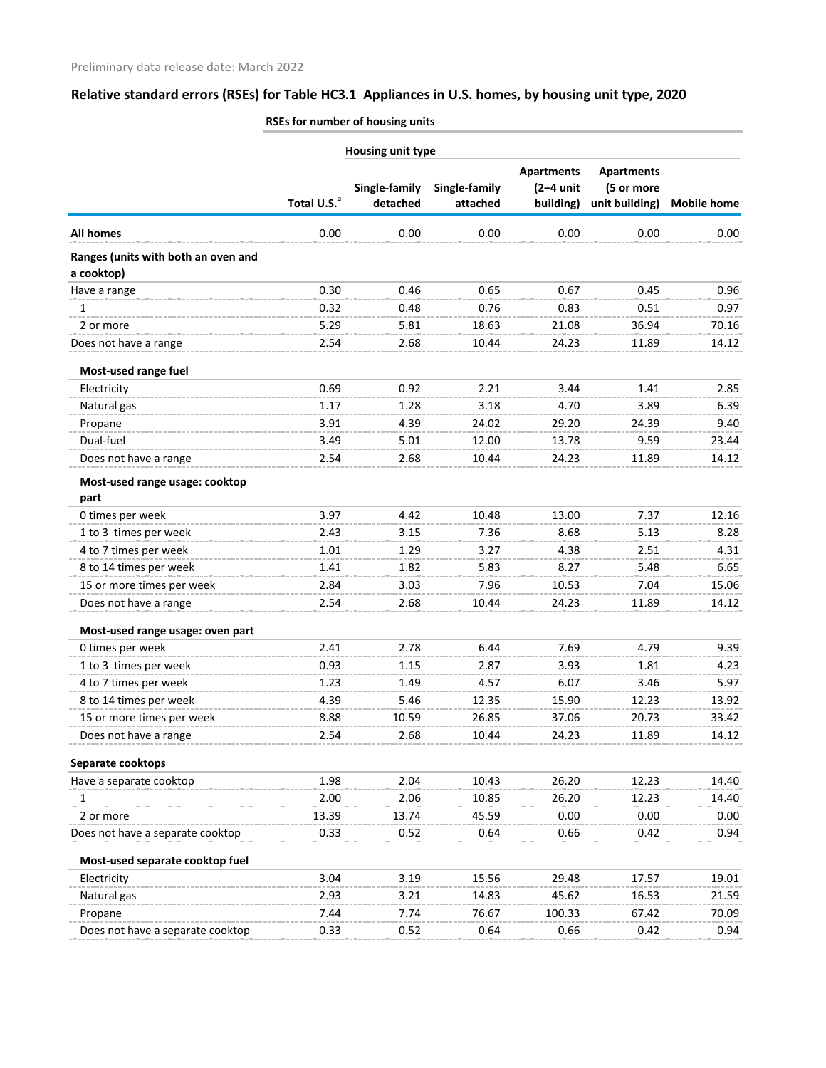|                                     | Housing unit type       |                   |               |                                  |                |                    |  |  |
|-------------------------------------|-------------------------|-------------------|---------------|----------------------------------|----------------|--------------------|--|--|
|                                     |                         | <b>Apartments</b> |               |                                  |                |                    |  |  |
|                                     |                         | Single-family     | Single-family | <b>Apartments</b><br>$(2-4$ unit | (5 or more     |                    |  |  |
|                                     | Total U.S. <sup>a</sup> | detached          | attached      | building)                        | unit building) | <b>Mobile home</b> |  |  |
| <b>All homes</b>                    | 0.00                    | 0.00              | 0.00          | 0.00                             | 0.00           | 0.00               |  |  |
| Ranges (units with both an oven and |                         |                   |               |                                  |                |                    |  |  |
| a cooktop)                          |                         |                   |               |                                  |                |                    |  |  |
| Have a range                        | 0.30                    | 0.46              | 0.65          | 0.67                             | 0.45           | 0.96               |  |  |
| 1                                   | 0.32                    | 0.48              | 0.76          | 0.83                             | 0.51           | 0.97               |  |  |
| 2 or more                           | 5.29                    | 5.81              | 18.63         | 21.08                            | 36.94          | 70.16              |  |  |
| Does not have a range               | 2.54                    | 2.68              | 10.44         | 24.23                            | 11.89          | 14.12              |  |  |
| Most-used range fuel                |                         |                   |               |                                  |                |                    |  |  |
| Electricity                         | 0.69                    | 0.92              | 2.21          | 3.44                             | 1.41           | 2.85               |  |  |
| Natural gas                         | 1.17                    | 1.28              | 3.18          | 4.70                             | 3.89           | 6.39               |  |  |
| Propane                             | 3.91                    | 4.39              | 24.02         | 29.20                            | 24.39          | 9.40               |  |  |
| Dual-fuel                           | 3.49                    | 5.01              | 12.00         | 13.78                            | 9.59           | 23.44              |  |  |
| Does not have a range               | 2.54                    | 2.68              | 10.44         | 24.23                            | 11.89          | 14.12              |  |  |
| Most-used range usage: cooktop      |                         |                   |               |                                  |                |                    |  |  |
| part                                |                         |                   |               |                                  |                |                    |  |  |
| 0 times per week                    | 3.97                    | 4.42              | 10.48         | 13.00                            | 7.37           | 12.16              |  |  |
| 1 to 3 times per week               | 2.43                    | 3.15              | 7.36          | 8.68                             | 5.13           | 8.28               |  |  |
| 4 to 7 times per week               | 1.01                    | 1.29              | 3.27          | 4.38                             | 2.51           | 4.31               |  |  |
| 8 to 14 times per week              | 1.41                    | 1.82              | 5.83          | 8.27                             | 5.48           | 6.65               |  |  |
| 15 or more times per week           | 2.84                    | 3.03              | 7.96          | 10.53                            | 7.04           | 15.06              |  |  |
| Does not have a range               | 2.54                    | 2.68              | 10.44         | 24.23                            | 11.89          | 14.12              |  |  |
| Most-used range usage: oven part    |                         |                   |               |                                  |                |                    |  |  |
| 0 times per week                    | 2.41                    | 2.78              | 6.44          | 7.69                             | 4.79           | 9.39               |  |  |
| 1 to 3 times per week               | 0.93                    | 1.15              | 2.87          | 3.93                             | 1.81           | 4.23               |  |  |
| 4 to 7 times per week               | 1.23                    | 1.49              | 4.57          | 6.07                             | 3.46           | 5.97               |  |  |
| 8 to 14 times per week              | 4.39                    | 5.46              | 12.35         | 15.90                            | 12.23          | 13.92              |  |  |
| 15 or more times per week           | 8.88                    | 10.59             | 26.85         | 37.06                            | 20.73          | 33.42              |  |  |
| Does not have a range               | 2.54                    | 2.68              | 10.44         | 24.23                            | 11.89          | 14.12              |  |  |
| Separate cooktops                   |                         |                   |               |                                  |                |                    |  |  |
| Have a separate cooktop             | 1.98                    | 2.04              | 10.43         | 26.20                            | 12.23          | 14.40              |  |  |
| 1                                   | 2.00                    | 2.06              | 10.85         | 26.20                            | 12.23          | 14.40              |  |  |
| 2 or more                           | 13.39                   | 13.74             | 45.59         | 0.00                             | 0.00           | 0.00               |  |  |
| Does not have a separate cooktop    | 0.33                    | 0.52              | 0.64          | 0.66                             | 0.42           | 0.94               |  |  |
| Most-used separate cooktop fuel     |                         |                   |               |                                  |                |                    |  |  |
| Electricity                         | 3.04                    | 3.19              | 15.56         | 29.48                            | 17.57          | 19.01              |  |  |
| Natural gas                         | 2.93                    | 3.21              | 14.83         | 45.62                            | 16.53          | 21.59              |  |  |
| Propane                             | 7.44                    | 7.74              | 76.67         | 100.33                           | 67.42          | 70.09              |  |  |
| Does not have a separate cooktop    | 0.33                    | 0.52              | 0.64          | 0.66                             | 0.42           | 0.94               |  |  |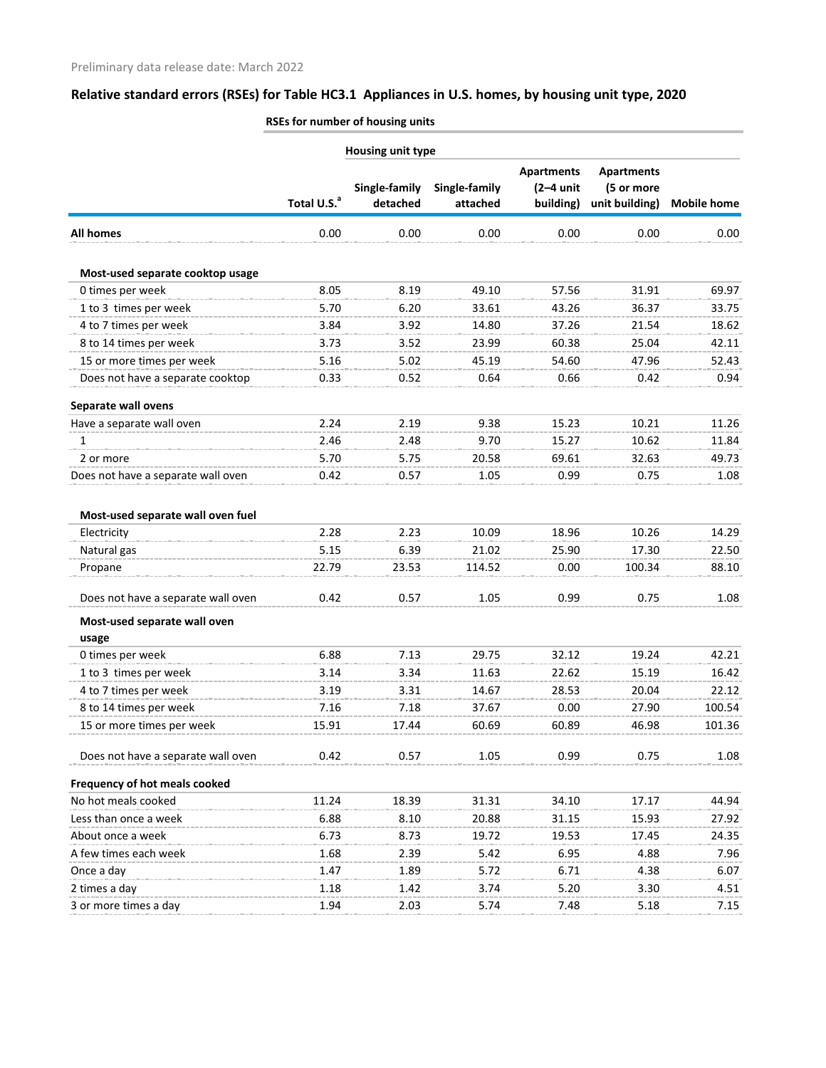|                                    | <b>Housing unit type</b> |                           |                           |                                               |                                                   |                    |  |
|------------------------------------|--------------------------|---------------------------|---------------------------|-----------------------------------------------|---------------------------------------------------|--------------------|--|
|                                    | Total U.S. <sup>a</sup>  | Single-family<br>detached | Single-family<br>attached | <b>Apartments</b><br>$(2-4$ unit<br>building) | <b>Apartments</b><br>(5 or more<br>unit building) | <b>Mobile home</b> |  |
| <b>All homes</b>                   | 0.00                     | 0.00                      | 0.00                      | 0.00                                          | 0.00                                              | 0.00               |  |
| Most-used separate cooktop usage   |                          |                           |                           |                                               |                                                   |                    |  |
| 0 times per week                   | 8.05                     | 8.19                      | 49.10                     | 57.56                                         | 31.91                                             | 69.97              |  |
| 1 to 3 times per week              | 5.70                     | 6.20                      | 33.61                     | 43.26                                         | 36.37                                             | 33.75              |  |
| 4 to 7 times per week              | 3.84                     | 3.92                      | 14.80                     | 37.26                                         | 21.54                                             | 18.62              |  |
| 8 to 14 times per week             | 3.73                     | 3.52                      | 23.99                     | 60.38                                         | 25.04                                             | 42.11              |  |
| 15 or more times per week          | 5.16                     | 5.02                      | 45.19                     | 54.60                                         | 47.96                                             | 52.43              |  |
| Does not have a separate cooktop   | 0.33                     | 0.52                      | 0.64                      | 0.66                                          | 0.42                                              | 0.94               |  |
| Separate wall ovens                |                          |                           |                           |                                               |                                                   |                    |  |
| Have a separate wall oven          | 2.24                     | 2.19                      | 9.38                      | 15.23                                         | 10.21                                             | 11.26              |  |
| 1                                  | 2.46                     | 2.48                      | 9.70                      | 15.27                                         | 10.62                                             | 11.84              |  |
| 2 or more                          | 5.70                     | 5.75                      | 20.58                     | 69.61                                         | 32.63                                             | 49.73              |  |
| Does not have a separate wall oven | 0.42                     | 0.57                      | 1.05                      | 0.99                                          | 0.75                                              | 1.08               |  |
| Most-used separate wall oven fuel  |                          |                           |                           |                                               |                                                   |                    |  |
| Electricity                        | 2.28                     | 2.23                      | 10.09                     | 18.96                                         | 10.26                                             | 14.29              |  |
| Natural gas                        | 5.15                     | 6.39                      | 21.02                     | 25.90                                         | 17.30                                             | 22.50              |  |
| Propane                            | 22.79                    | 23.53                     | 114.52                    | 0.00                                          | 100.34                                            | 88.10              |  |
| Does not have a separate wall oven | 0.42                     | 0.57                      | 1.05                      | 0.99                                          | 0.75                                              | 1.08               |  |
| Most-used separate wall oven       |                          |                           |                           |                                               |                                                   |                    |  |
| usage                              |                          |                           |                           |                                               |                                                   |                    |  |
| 0 times per week                   | 6.88                     | 7.13                      | 29.75                     | 32.12                                         | 19.24                                             | 42.21              |  |
| 1 to 3 times per week              | 3.14                     | 3.34                      | 11.63                     | 22.62                                         | 15.19                                             | 16.42              |  |
| 4 to 7 times per week              | 3.19                     | 3.31                      | 14.67                     | 28.53                                         | 20.04                                             | 22.12              |  |
| 8 to 14 times per week             | 7.16                     | 7.18                      | 37.67                     | 0.00                                          | 27.90                                             | 100.54             |  |
| 15 or more times per week          | 15.91                    | 17.44                     | 60.69                     | 60.89                                         | 46.98                                             | 101.36             |  |
| Does not have a separate wall oven | 0.42                     | 0.57                      | 1.05                      | 0.99                                          | 0.75                                              | 1.08               |  |
| Frequency of hot meals cooked      |                          |                           |                           |                                               |                                                   |                    |  |
| No hot meals cooked                | 11.24                    | 18.39                     | 31.31                     | 34.10                                         | 17.17                                             | 44.94              |  |
| Less than once a week              | 6.88                     | 8.10                      | 20.88                     | 31.15                                         | 15.93                                             | 27.92              |  |
| About once a week                  | 6.73                     | 8.73                      | 19.72                     | 19.53                                         | 17.45                                             | 24.35              |  |
| A few times each week              | 1.68                     | 2.39                      | 5.42                      | 6.95                                          | 4.88                                              | 7.96               |  |
| Once a day                         | 1.47                     | 1.89                      | 5.72                      | 6.71                                          | 4.38                                              | 6.07               |  |
| 2 times a day                      | 1.18                     | 1.42                      | 3.74                      | 5.20                                          | 3.30                                              | 4.51               |  |
| 3 or more times a day              | 1.94                     | 2.03                      | 5.74                      | 7.48                                          | 5.18                                              | 7.15               |  |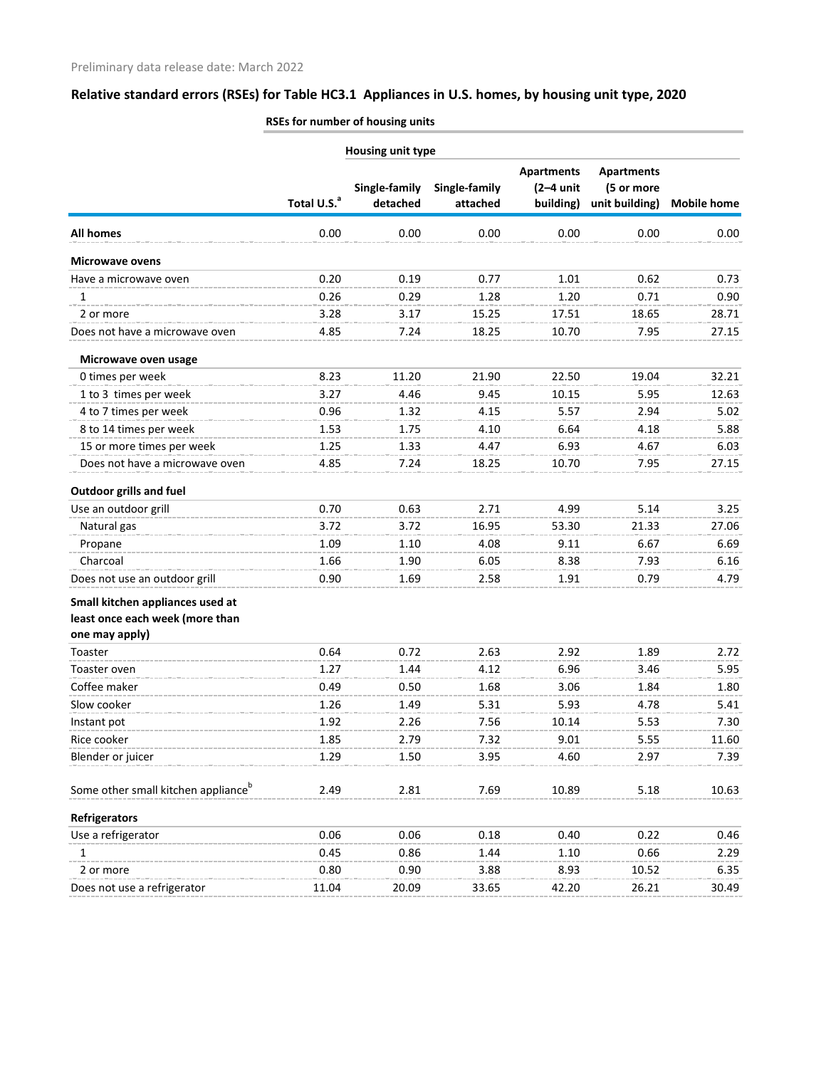|                                                 | Housing unit type       |               |               |                                  |                                 |                    |
|-------------------------------------------------|-------------------------|---------------|---------------|----------------------------------|---------------------------------|--------------------|
|                                                 |                         | Single-family | Single-family | <b>Apartments</b><br>$(2-4$ unit | <b>Apartments</b><br>(5 or more |                    |
|                                                 | Total U.S. <sup>a</sup> | detached      | attached      | building)                        | unit building)                  | <b>Mobile home</b> |
| <b>All homes</b>                                | 0.00                    | 0.00          | 0.00          | 0.00                             | 0.00                            | 0.00               |
| <b>Microwave ovens</b>                          |                         |               |               |                                  |                                 |                    |
| Have a microwave oven                           | 0.20                    | 0.19          | 0.77          | 1.01                             | 0.62                            | 0.73               |
| 1                                               | 0.26                    | 0.29          | 1.28          | 1.20                             | 0.71                            | 0.90               |
| 2 or more                                       | 3.28                    | 3.17          | 15.25         | 17.51                            | 18.65                           | 28.71              |
| Does not have a microwave oven                  | 4.85                    | 7.24          | 18.25         | 10.70                            | 7.95                            | 27.15              |
| Microwave oven usage                            |                         |               |               |                                  |                                 |                    |
| 0 times per week                                | 8.23                    | 11.20         | 21.90         | 22.50                            | 19.04                           | 32.21              |
| 1 to 3 times per week                           | 3.27                    | 4.46          | 9.45          | 10.15                            | 5.95                            | 12.63              |
| 4 to 7 times per week                           | 0.96                    | 1.32          | 4.15          | 5.57                             | 2.94                            | 5.02               |
| 8 to 14 times per week                          | 1.53                    | 1.75          | 4.10          | 6.64                             | 4.18                            | 5.88               |
| 15 or more times per week                       | 1.25                    | 1.33          | 4.47          | 6.93                             | 4.67                            | 6.03               |
| Does not have a microwave oven                  | 4.85                    | 7.24          | 18.25         | 10.70                            | 7.95                            | 27.15              |
| <b>Outdoor grills and fuel</b>                  |                         |               |               |                                  |                                 |                    |
| Use an outdoor grill                            | 0.70                    | 0.63          | 2.71          | 4.99                             | 5.14                            | 3.25               |
| Natural gas                                     | 3.72                    | 3.72          | 16.95         | 53.30                            | 21.33                           | 27.06              |
| Propane                                         | 1.09                    | 1.10          | 4.08          | 9.11                             | 6.67                            | 6.69               |
| Charcoal                                        | 1.66                    | 1.90          | 6.05          | 8.38                             | 7.93                            | 6.16               |
| Does not use an outdoor grill                   | 0.90                    | 1.69          | 2.58          | 1.91                             | 0.79                            | 4.79               |
| Small kitchen appliances used at                |                         |               |               |                                  |                                 |                    |
| least once each week (more than                 |                         |               |               |                                  |                                 |                    |
| one may apply)                                  |                         |               |               |                                  |                                 |                    |
| Toaster                                         | 0.64                    | 0.72          | 2.63          | 2.92                             | 1.89                            | 2.72               |
| Toaster oven                                    | 1.27                    | 1.44          | 4.12          | 6.96                             | 3.46                            | 5.95               |
| Coffee maker                                    | 0.49                    | 0.50          | 1.68          | 3.06                             | 1.84                            | 1.80               |
| Slow cooker                                     | 1.26                    | 1.49          | 5.31          | 5.93                             | 4.78                            | 5.41               |
| Instant pot                                     | 1.92                    | 2.26          | 7.56          | 10.14                            | 5.53                            | 7.30               |
| Rice cooker                                     | 1.85                    | 2.79          | 7.32          | 9.01                             | 5.55                            | 11.60              |
| Blender or juicer                               | 1.29                    | 1.50          | 3.95          | 4.60                             | 2.97                            | 7.39               |
| Some other small kitchen appliance <sup>b</sup> | 2.49                    | 2.81          | 7.69          | 10.89                            | 5.18                            | 10.63              |
| Refrigerators                                   |                         |               |               |                                  |                                 |                    |
| Use a refrigerator                              | 0.06                    | 0.06          | 0.18          | 0.40                             | 0.22                            | 0.46               |
| 1                                               | 0.45                    | 0.86          | 1.44          | 1.10                             | 0.66                            | 2.29               |
| 2 or more                                       | 0.80                    | 0.90          | 3.88          | 8.93                             | 10.52                           | 6.35               |
| Does not use a refrigerator                     | 11.04                   | 20.09         | 33.65         | 42.20                            | 26.21                           | 30.49              |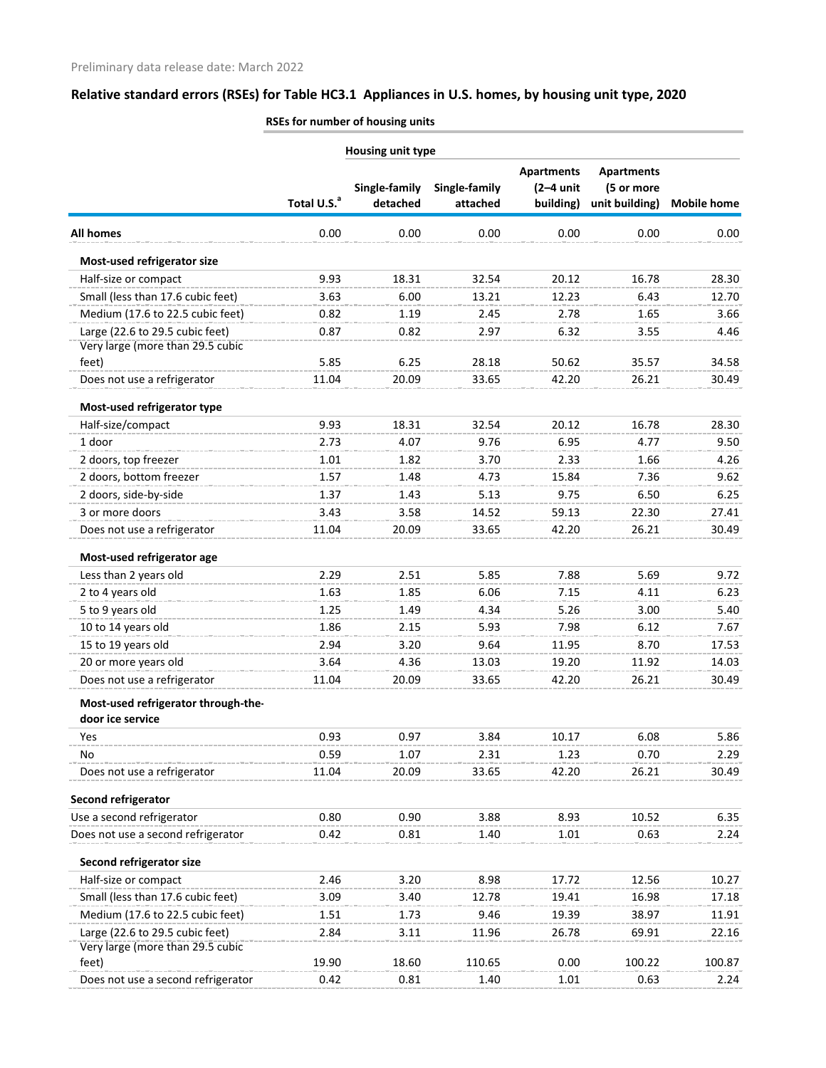|                                     | <b>Housing unit type</b> |                           |                           |                                               |                                                   |                    |
|-------------------------------------|--------------------------|---------------------------|---------------------------|-----------------------------------------------|---------------------------------------------------|--------------------|
|                                     | Total U.S. <sup>a</sup>  | Single-family<br>detached | Single-family<br>attached | <b>Apartments</b><br>$(2-4$ unit<br>building) | <b>Apartments</b><br>(5 or more<br>unit building) | <b>Mobile home</b> |
| <b>All homes</b>                    | 0.00                     | 0.00                      | 0.00                      | 0.00                                          | 0.00                                              | 0.00               |
| Most-used refrigerator size         |                          |                           |                           |                                               |                                                   |                    |
| Half-size or compact                | 9.93                     | 18.31                     | 32.54                     | 20.12                                         | 16.78                                             | 28.30              |
| Small (less than 17.6 cubic feet)   | 3.63                     | 6.00                      | 13.21                     | 12.23                                         | 6.43                                              | 12.70              |
| Medium (17.6 to 22.5 cubic feet)    | 0.82                     | 1.19                      | 2.45                      | 2.78                                          | 1.65                                              | 3.66               |
| Large (22.6 to 29.5 cubic feet)     | 0.87                     | 0.82                      | 2.97                      | 6.32                                          | 3.55                                              | 4.46               |
| Very large (more than 29.5 cubic    |                          |                           |                           |                                               |                                                   |                    |
| feet)                               | 5.85                     | 6.25                      | 28.18                     | 50.62                                         | 35.57                                             | 34.58              |
| Does not use a refrigerator         | 11.04                    | 20.09                     | 33.65                     | 42.20                                         | 26.21                                             | 30.49              |
| Most-used refrigerator type         |                          |                           |                           |                                               |                                                   |                    |
| Half-size/compact                   | 9.93                     | 18.31                     | 32.54                     | 20.12                                         | 16.78                                             | 28.30              |
| 1 door                              | 2.73                     | 4.07                      | 9.76                      | 6.95                                          | 4.77                                              | 9.50               |
| 2 doors, top freezer                | 1.01                     | 1.82                      | 3.70                      | 2.33                                          | 1.66                                              | 4.26               |
| 2 doors, bottom freezer             | 1.57                     | 1.48                      | 4.73                      | 15.84                                         | 7.36                                              | 9.62               |
| 2 doors, side-by-side               | 1.37                     | 1.43                      | 5.13                      | 9.75                                          | 6.50                                              | 6.25               |
| 3 or more doors                     | 3.43                     | 3.58                      | 14.52                     | 59.13                                         | 22.30                                             | 27.41              |
| Does not use a refrigerator         | 11.04                    | 20.09                     | 33.65                     | 42.20                                         | 26.21                                             | 30.49              |
| Most-used refrigerator age          |                          |                           |                           |                                               |                                                   |                    |
| Less than 2 years old               | 2.29                     | 2.51                      | 5.85                      | 7.88                                          | 5.69                                              | 9.72               |
| 2 to 4 years old                    | 1.63                     | 1.85                      | 6.06                      | 7.15                                          | 4.11                                              | 6.23               |
| 5 to 9 years old                    | 1.25                     | 1.49                      | 4.34                      | 5.26                                          | 3.00                                              | 5.40               |
| 10 to 14 years old                  | 1.86                     | 2.15                      | 5.93                      | 7.98                                          | 6.12                                              | 7.67               |
| 15 to 19 years old                  | 2.94                     | 3.20                      | 9.64                      | 11.95                                         | 8.70                                              | 17.53              |
| 20 or more years old                | 3.64                     | 4.36                      | 13.03                     | 19.20                                         | 11.92                                             | 14.03              |
| Does not use a refrigerator         | 11.04                    | 20.09                     | 33.65                     | 42.20                                         | 26.21                                             | 30.49              |
| Most-used refrigerator through-the- |                          |                           |                           |                                               |                                                   |                    |
| door ice service                    |                          |                           |                           |                                               |                                                   |                    |
| Yes                                 | 0.93                     | 0.97                      | 3.84                      | 10.17                                         | 6.08                                              | 5.86               |
| No.                                 | 0.59                     | 1.07                      | 2.31                      | 1.23                                          | 0.70                                              | 2.29               |
| Does not use a refrigerator         | 11.04                    | 20.09                     | 33.65                     | 42.20                                         | 26.21                                             | 30.49              |
| Second refrigerator                 |                          |                           |                           |                                               |                                                   |                    |
| Use a second refrigerator           | 0.80                     | 0.90                      | 3.88                      | 8.93                                          | 10.52                                             | 6.35               |
| Does not use a second refrigerator  | 0.42                     | 0.81                      | 1.40                      | 1.01                                          | 0.63                                              | 2.24               |
| Second refrigerator size            |                          |                           |                           |                                               |                                                   |                    |
| Half-size or compact                | 2.46                     | 3.20                      | 8.98                      | 17.72                                         | 12.56                                             | 10.27              |
| Small (less than 17.6 cubic feet)   | 3.09                     | 3.40                      | 12.78                     | 19.41                                         | 16.98                                             | 17.18              |
| Medium (17.6 to 22.5 cubic feet)    | 1.51                     | 1.73                      | 9.46                      | 19.39                                         | 38.97                                             | 11.91              |
| Large (22.6 to 29.5 cubic feet)     | 2.84                     | 3.11                      | 11.96                     | 26.78                                         | 69.91                                             | 22.16              |
| Very large (more than 29.5 cubic    |                          |                           |                           |                                               |                                                   |                    |
| feet)                               | 19.90                    | 18.60                     | 110.65                    | 0.00                                          | 100.22                                            | 100.87             |
| Does not use a second refrigerator  | 0.42                     | 0.81                      | 1.40                      | 1.01                                          | 0.63                                              | 2.24               |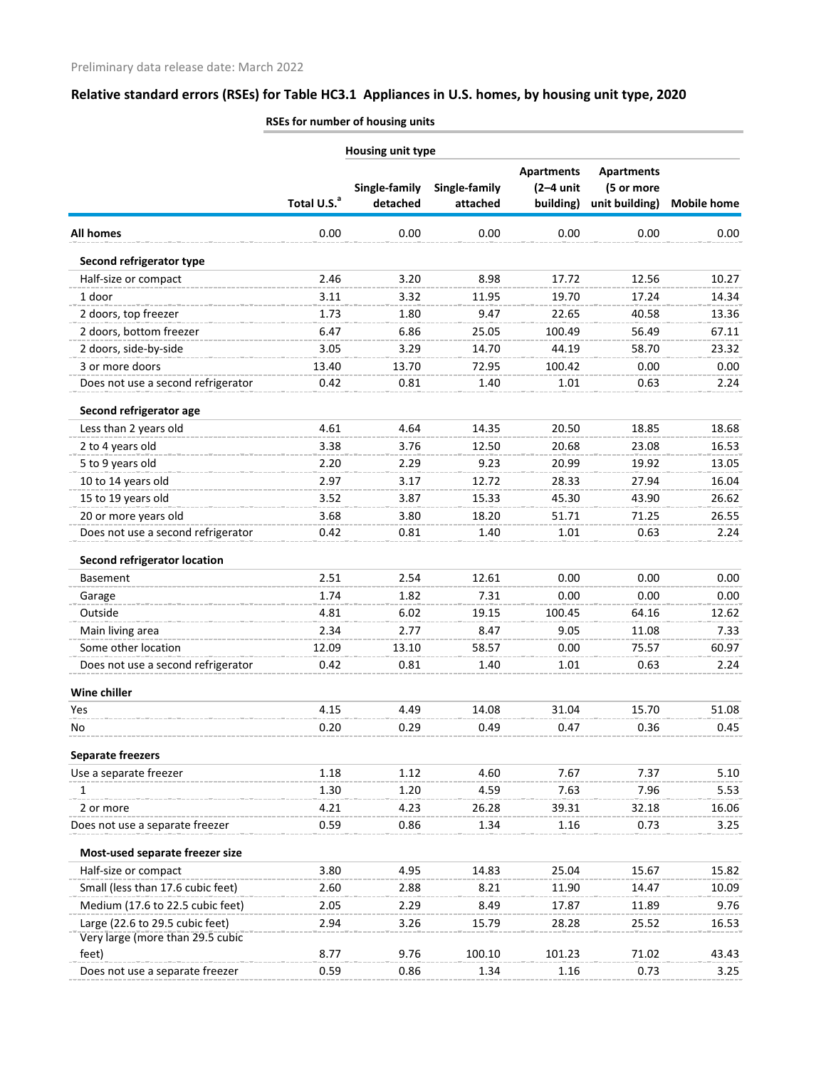|                                           | <b>Housing unit type</b> |                           |                           |                                               |                                                   |                    |
|-------------------------------------------|--------------------------|---------------------------|---------------------------|-----------------------------------------------|---------------------------------------------------|--------------------|
|                                           | Total U.S. <sup>a</sup>  | Single-family<br>detached | Single-family<br>attached | <b>Apartments</b><br>$(2-4$ unit<br>building) | <b>Apartments</b><br>(5 or more<br>unit building) | <b>Mobile home</b> |
| <b>All homes</b>                          | 0.00                     | 0.00                      | 0.00                      | 0.00                                          | 0.00                                              | 0.00               |
| Second refrigerator type                  |                          |                           |                           |                                               |                                                   |                    |
| Half-size or compact                      | 2.46                     | 3.20                      | 8.98                      | 17.72                                         | 12.56                                             | 10.27              |
| 1 door                                    | 3.11                     | 3.32                      | 11.95                     | 19.70                                         | 17.24                                             | 14.34              |
| 2 doors, top freezer                      | 1.73                     | 1.80                      | 9.47                      | 22.65                                         | 40.58                                             | 13.36              |
| 2 doors, bottom freezer                   | 6.47                     | 6.86                      | 25.05                     | 100.49                                        | 56.49                                             | 67.11              |
| 2 doors, side-by-side                     | 3.05                     | 3.29                      | 14.70                     | 44.19                                         | 58.70                                             | 23.32              |
| 3 or more doors                           | 13.40                    | 13.70                     | 72.95                     | 100.42                                        | 0.00                                              | 0.00               |
| Does not use a second refrigerator        | 0.42                     | 0.81                      | 1.40                      | 1.01                                          | 0.63                                              | 2.24               |
| Second refrigerator age                   |                          |                           |                           |                                               |                                                   |                    |
| Less than 2 years old                     | 4.61                     | 4.64                      | 14.35                     | 20.50                                         | 18.85                                             | 18.68              |
| 2 to 4 years old                          | 3.38                     | 3.76                      | 12.50                     | 20.68                                         | 23.08                                             | 16.53              |
| 5 to 9 years old                          | 2.20                     | 2.29                      | 9.23                      | 20.99                                         | 19.92                                             | 13.05              |
| 10 to 14 years old                        | 2.97                     | 3.17                      | 12.72                     | 28.33                                         | 27.94                                             | 16.04              |
| 15 to 19 years old                        | 3.52                     | 3.87                      | 15.33                     | 45.30                                         | 43.90                                             | 26.62              |
| 20 or more years old                      | 3.68                     | 3.80                      | 18.20                     | 51.71                                         | 71.25                                             | 26.55              |
| Does not use a second refrigerator        | 0.42                     | 0.81                      | 1.40                      | 1.01                                          | 0.63                                              | 2.24               |
| <b>Second refrigerator location</b>       |                          |                           |                           |                                               |                                                   |                    |
| <b>Basement</b>                           | 2.51                     | 2.54                      | 12.61                     | 0.00                                          | 0.00                                              | 0.00               |
| Garage                                    | 1.74                     | 1.82                      | 7.31                      | 0.00                                          | 0.00                                              | 0.00               |
| Outside                                   | 4.81                     | 6.02                      | 19.15                     | 100.45                                        | 64.16                                             | 12.62              |
| Main living area                          | 2.34                     | 2.77                      | 8.47                      | 9.05                                          | 11.08                                             | 7.33               |
| Some other location                       | 12.09                    | 13.10                     | 58.57                     | 0.00                                          | 75.57                                             | 60.97              |
| Does not use a second refrigerator        | 0.42                     | 0.81                      | 1.40                      | 1.01                                          | 0.63                                              | 2.24               |
| Wine chiller                              |                          |                           |                           |                                               |                                                   |                    |
| Yes                                       | 4.15                     | 4.49                      | 14.08                     | 31.04                                         | 15.70                                             | 51.08              |
| No                                        | 0.20                     | 0.29                      | 0.49                      | 0.47                                          | 0.36                                              | 0.45               |
| <b>Separate freezers</b>                  |                          |                           |                           |                                               |                                                   |                    |
| Use a separate freezer                    | 1.18                     | 1.12                      | 4.60                      | 7.67                                          | 7.37                                              | 5.10               |
| 1                                         | 1.30                     | 1.20                      | 4.59                      | 7.63                                          | 7.96                                              | 5.53               |
| 2 or more                                 | 4.21                     | 4.23                      | 26.28                     | 39.31                                         | 32.18                                             | 16.06              |
| Does not use a separate freezer           | 0.59                     | 0.86                      | 1.34                      | 1.16                                          | 0.73                                              | 3.25               |
| Most-used separate freezer size           |                          |                           |                           |                                               |                                                   |                    |
| Half-size or compact                      | 3.80                     | 4.95                      | 14.83                     | 25.04                                         | 15.67                                             | 15.82              |
| Small (less than 17.6 cubic feet)         | 2.60                     | 2.88                      | 8.21                      | 11.90                                         | 14.47                                             | 10.09              |
| Medium (17.6 to 22.5 cubic feet)          | 2.05                     | 2.29                      | 8.49                      | 17.87                                         | 11.89                                             | 9.76               |
| Large (22.6 to 29.5 cubic feet)           | 2.94                     | 3.26                      | 15.79                     | 28.28                                         | 25.52                                             | 16.53              |
| Very large (more than 29.5 cubic<br>feet) | 8.77                     | 9.76                      | 100.10                    | 101.23                                        | 71.02                                             | 43.43              |
| Does not use a separate freezer           | 0.59                     | 0.86                      | 1.34                      | 1.16                                          | 0.73                                              | 3.25               |
|                                           |                          |                           |                           |                                               |                                                   |                    |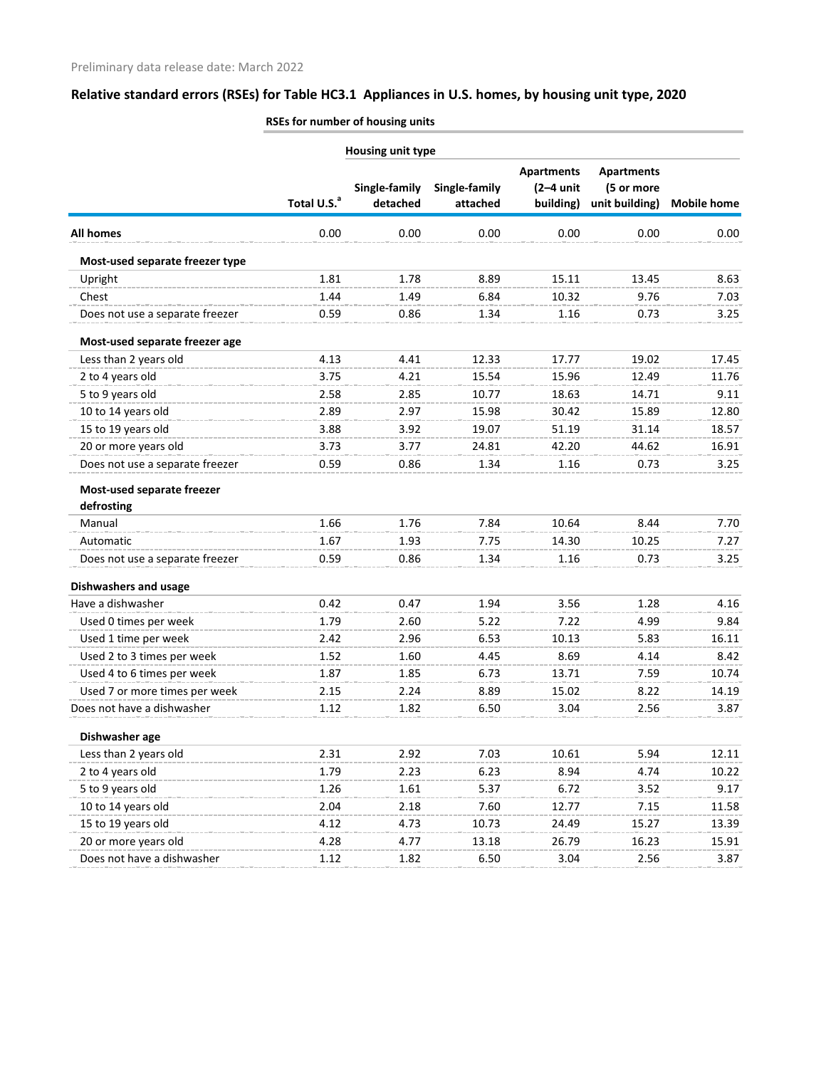|                                          | Housing unit type       |                           |                           |                                               |                                                   |                    |
|------------------------------------------|-------------------------|---------------------------|---------------------------|-----------------------------------------------|---------------------------------------------------|--------------------|
|                                          | Total U.S. <sup>a</sup> | Single-family<br>detached | Single-family<br>attached | <b>Apartments</b><br>$(2-4$ unit<br>building) | <b>Apartments</b><br>(5 or more<br>unit building) | <b>Mobile home</b> |
| <b>All homes</b>                         | 0.00                    | 0.00                      | 0.00                      | 0.00                                          | 0.00                                              | 0.00               |
| Most-used separate freezer type          |                         |                           |                           |                                               |                                                   |                    |
| Upright                                  | 1.81                    | 1.78                      | 8.89                      | 15.11                                         | 13.45                                             | 8.63               |
| Chest                                    | 1.44                    | 1.49                      | 6.84                      | 10.32                                         | 9.76                                              | 7.03               |
| Does not use a separate freezer          | 0.59                    | 0.86                      | 1.34                      | 1.16                                          | 0.73                                              | 3.25               |
| Most-used separate freezer age           |                         |                           |                           |                                               |                                                   |                    |
| Less than 2 years old                    | 4.13                    | 4.41                      | 12.33                     | 17.77                                         | 19.02                                             | 17.45              |
| 2 to 4 years old                         | 3.75                    | 4.21                      | 15.54                     | 15.96                                         | 12.49                                             | 11.76              |
| 5 to 9 years old                         | 2.58                    | 2.85                      | 10.77                     | 18.63                                         | 14.71                                             | 9.11               |
| 10 to 14 years old                       | 2.89                    | 2.97                      | 15.98                     | 30.42                                         | 15.89                                             | 12.80              |
| 15 to 19 years old                       | 3.88                    | 3.92                      | 19.07                     | 51.19                                         | 31.14                                             | 18.57              |
| 20 or more years old                     | 3.73                    | 3.77                      | 24.81                     | 42.20                                         | 44.62                                             | 16.91              |
| Does not use a separate freezer          | 0.59                    | 0.86                      | 1.34                      | 1.16                                          | 0.73                                              | 3.25               |
| Most-used separate freezer<br>defrosting |                         |                           |                           |                                               |                                                   |                    |
| Manual                                   | 1.66                    | 1.76                      | 7.84                      | 10.64                                         | 8.44                                              | 7.70               |
| Automatic                                | 1.67                    | 1.93                      | 7.75                      | 14.30                                         | 10.25                                             | 7.27               |
| Does not use a separate freezer          | 0.59                    | 0.86                      | 1.34                      | 1.16                                          | 0.73                                              | 3.25               |
| <b>Dishwashers and usage</b>             |                         |                           |                           |                                               |                                                   |                    |
| Have a dishwasher                        | 0.42                    | 0.47                      | 1.94                      | 3.56                                          | 1.28                                              | 4.16               |
| Used 0 times per week                    | 1.79                    | 2.60                      | 5.22                      | 7.22                                          | 4.99                                              | 9.84               |
| Used 1 time per week                     | 2.42                    | 2.96                      | 6.53                      | 10.13                                         | 5.83                                              | 16.11              |
| Used 2 to 3 times per week               | 1.52                    | 1.60                      | 4.45                      | 8.69                                          | 4.14                                              | 8.42               |
| Used 4 to 6 times per week               | 1.87                    | 1.85                      | 6.73                      | 13.71                                         | 7.59                                              | 10.74              |
| Used 7 or more times per week            | 2.15                    | 2.24                      | 8.89                      | 15.02                                         | 8.22                                              | 14.19              |
| Does not have a dishwasher               | 1.12                    | 1.82                      | 6.50                      | 3.04                                          | 2.56                                              | 3.87               |
| Dishwasher age                           |                         |                           |                           |                                               |                                                   |                    |
| Less than 2 years old                    | 2.31                    | 2.92                      | 7.03                      | 10.61                                         | 5.94                                              | 12.11              |
| 2 to 4 years old                         | 1.79                    | 2.23                      | 6.23                      | 8.94                                          | 4.74                                              | 10.22              |
| 5 to 9 years old                         | 1.26                    | 1.61                      | 5.37                      | 6.72                                          | 3.52                                              | 9.17               |
| 10 to 14 years old                       | 2.04                    | 2.18                      | 7.60                      | 12.77                                         | 7.15                                              | 11.58              |
| 15 to 19 years old                       | 4.12                    | 4.73                      | 10.73                     | 24.49                                         | 15.27                                             | 13.39              |
| 20 or more years old                     | 4.28                    | 4.77                      | 13.18                     | 26.79                                         | 16.23                                             | 15.91              |
| Does not have a dishwasher               | 1.12                    | 1.82                      | 6.50                      | 3.04                                          | 2.56                                              | 3.87               |
|                                          |                         |                           |                           |                                               |                                                   |                    |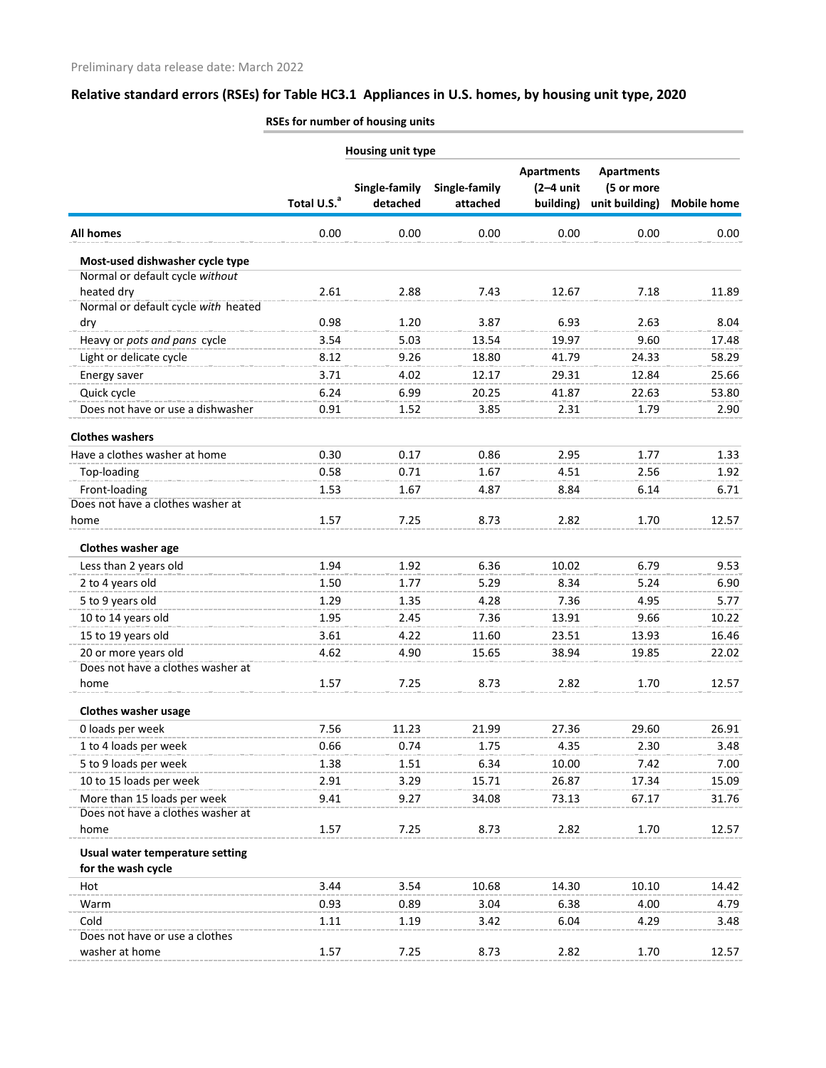|                                     | <b>Housing unit type</b> |                           |                           |                                               |                                                   |                    |
|-------------------------------------|--------------------------|---------------------------|---------------------------|-----------------------------------------------|---------------------------------------------------|--------------------|
|                                     | Total U.S. <sup>a</sup>  | Single-family<br>detached | Single-family<br>attached | <b>Apartments</b><br>$(2-4$ unit<br>building) | <b>Apartments</b><br>(5 or more<br>unit building) | <b>Mobile home</b> |
| <b>All homes</b>                    | 0.00                     | 0.00                      | 0.00                      | 0.00                                          | 0.00                                              | 0.00               |
| Most-used dishwasher cycle type     |                          |                           |                           |                                               |                                                   |                    |
| Normal or default cycle without     |                          |                           |                           |                                               |                                                   |                    |
| heated dry                          | 2.61                     | 2.88                      | 7.43                      | 12.67                                         | 7.18                                              | 11.89              |
| Normal or default cycle with heated |                          |                           |                           |                                               |                                                   |                    |
| dry                                 | 0.98                     | 1.20                      | 3.87                      | 6.93                                          | 2.63                                              | 8.04               |
| Heavy or pots and pans cycle        | 3.54                     | 5.03                      | 13.54                     | 19.97                                         | 9.60                                              | 17.48              |
| Light or delicate cycle             | 8.12                     | 9.26                      | 18.80                     | 41.79                                         | 24.33                                             | 58.29              |
| Energy saver                        | 3.71                     | 4.02                      | 12.17                     | 29.31                                         | 12.84                                             | 25.66              |
| Quick cycle                         | 6.24                     | 6.99                      | 20.25                     | 41.87                                         | 22.63                                             | 53.80              |
| Does not have or use a dishwasher   | 0.91                     | 1.52                      | 3.85                      | 2.31                                          | 1.79                                              | 2.90               |
| <b>Clothes washers</b>              |                          |                           |                           |                                               |                                                   |                    |
| Have a clothes washer at home       | 0.30                     | 0.17                      | 0.86                      | 2.95                                          | 1.77                                              | 1.33               |
| Top-loading                         | 0.58                     | 0.71                      | 1.67                      | 4.51                                          | 2.56                                              | 1.92               |
| Front-loading                       | 1.53                     | 1.67                      | 4.87                      | 8.84                                          | 6.14                                              | 6.71               |
| Does not have a clothes washer at   |                          |                           |                           |                                               |                                                   |                    |
| home                                | 1.57                     | 7.25                      | 8.73                      | 2.82                                          | 1.70                                              | 12.57              |
| Clothes washer age                  |                          |                           |                           |                                               |                                                   |                    |
| Less than 2 years old               | 1.94                     | 1.92                      | 6.36                      | 10.02                                         | 6.79                                              | 9.53               |
| 2 to 4 years old                    | 1.50                     | 1.77                      | 5.29                      | 8.34                                          | 5.24                                              | 6.90               |
| 5 to 9 years old                    | 1.29                     | 1.35                      | 4.28                      | 7.36                                          | 4.95                                              | 5.77               |
| 10 to 14 years old                  | 1.95                     | 2.45                      | 7.36                      | 13.91                                         | 9.66                                              | 10.22              |
| 15 to 19 years old                  | 3.61                     | 4.22                      | 11.60                     | 23.51                                         | 13.93                                             | 16.46              |
| 20 or more years old                | 4.62                     | 4.90                      | 15.65                     | 38.94                                         | 19.85                                             | 22.02              |
| Does not have a clothes washer at   |                          |                           |                           |                                               |                                                   |                    |
| home                                | 1.57                     | 7.25                      | 8.73                      | 2.82                                          | 1.70                                              | 12.57              |
| <b>Clothes washer usage</b>         |                          |                           |                           |                                               |                                                   |                    |
| 0 loads per week                    | 7.56                     | 11.23                     | 21.99                     | 27.36                                         | 29.60                                             | 26.91              |
| 1 to 4 loads per week               | 0.66                     | 0.74                      | 1.75                      | 4.35                                          | 2.30                                              | 3.48               |
| 5 to 9 loads per week               | 1.38                     | 1.51                      | 6.34                      | 10.00                                         | 7.42                                              | 7.00               |
| 10 to 15 loads per week             | 2.91                     | 3.29                      | 15.71                     | 26.87                                         | 17.34                                             | 15.09              |
| More than 15 loads per week         | 9.41                     | 9.27                      | 34.08                     | 73.13                                         | 67.17                                             | 31.76              |
| Does not have a clothes washer at   |                          |                           |                           |                                               |                                                   |                    |
| home                                | 1.57                     | 7.25                      | 8.73                      | 2.82                                          | 1.70                                              | 12.57              |
| Usual water temperature setting     |                          |                           |                           |                                               |                                                   |                    |
| for the wash cycle                  |                          |                           |                           |                                               |                                                   |                    |
| Hot                                 | 3.44                     | 3.54                      | 10.68                     | 14.30                                         | 10.10                                             | 14.42              |
| Warm                                | 0.93                     | 0.89                      | 3.04                      | 6.38                                          | 4.00                                              | 4.79               |
| Cold                                | 1.11                     | 1.19                      | 3.42                      | 6.04                                          | 4.29                                              | 3.48               |
| Does not have or use a clothes      |                          |                           |                           |                                               |                                                   |                    |
| washer at home                      | 1.57                     | 7.25                      | 8.73                      | 2.82                                          | 1.70                                              | 12.57              |